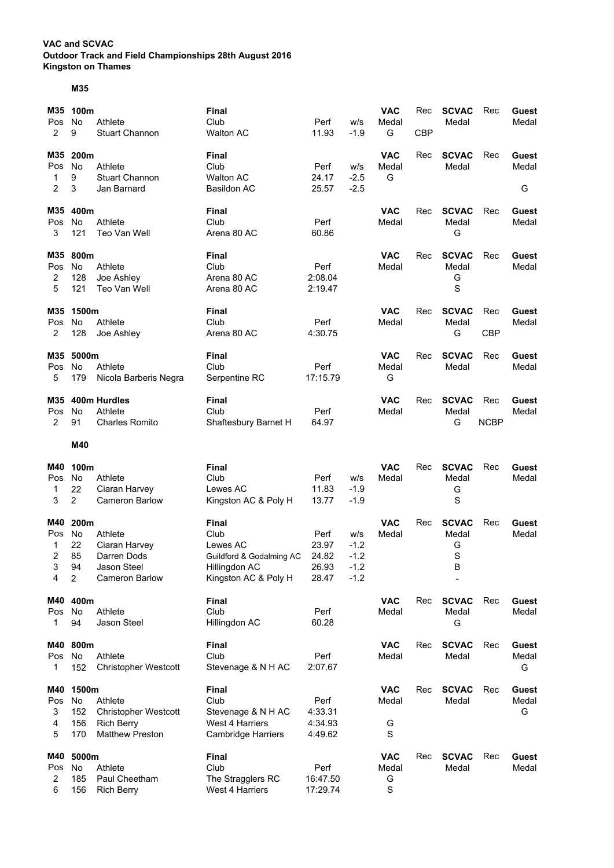## **VAC and SCVAC Outdoor Track and Field Championships 28th August 2016 Kingston on Thames**

## **M35**

| M35<br>Pos<br>2                | 100m<br>No<br>9                                | Athlete<br><b>Stuart Channon</b>                                                      | <b>Final</b><br>Club<br><b>Walton AC</b>                                                              | Perf<br>11.93                            | w/s<br>$-1.9$                               | <b>VAC</b><br>Medal<br>G      | Rec<br><b>CBP</b> | <b>SCVAC</b><br>Medal                | Rec                | Guest<br>Medal      |
|--------------------------------|------------------------------------------------|---------------------------------------------------------------------------------------|-------------------------------------------------------------------------------------------------------|------------------------------------------|---------------------------------------------|-------------------------------|-------------------|--------------------------------------|--------------------|---------------------|
| M35<br>Pos<br>1<br>2           | 200m<br>No<br>9<br>3                           | Athlete<br><b>Stuart Channon</b><br>Jan Barnard                                       | <b>Final</b><br>Club<br><b>Walton AC</b><br><b>Basildon AC</b>                                        | Perf<br>24.17<br>25.57                   | w/s<br>$-2.5$<br>$-2.5$                     | <b>VAC</b><br>Medal<br>G      | Rec               | <b>SCVAC</b><br>Medal                | Rec                | Guest<br>Medal<br>G |
| M35<br>Pos<br>3                | 400m<br>No<br>121                              | Athlete<br>Teo Van Well                                                               | Final<br>Club<br>Arena 80 AC                                                                          | Perf<br>60.86                            |                                             | <b>VAC</b><br>Medal           | Rec               | <b>SCVAC</b><br>Medal<br>G           | Rec                | Guest<br>Medal      |
| M35<br>Pos<br>2<br>5           | 800m<br>No<br>128<br>121                       | Athlete<br>Joe Ashley<br>Teo Van Well                                                 | <b>Final</b><br>Club<br>Arena 80 AC<br>Arena 80 AC                                                    | Perf<br>2:08.04<br>2:19.47               |                                             | <b>VAC</b><br>Medal           | Rec               | <b>SCVAC</b><br>Medal<br>G<br>S      | Rec                | Guest<br>Medal      |
| M35<br>Pos<br>$\overline{2}$   | 1500m<br>No.<br>128                            | Athlete<br>Joe Ashley                                                                 | <b>Final</b><br>Club<br>Arena 80 AC                                                                   | Perf<br>4:30.75                          |                                             | <b>VAC</b><br>Medal           | Rec               | <b>SCVAC</b><br>Medal<br>G           | Rec<br><b>CBP</b>  | Guest<br>Medal      |
| M35<br>Pos<br>5                | 5000m<br>No<br>179                             | Athlete<br>Nicola Barberis Negra                                                      | <b>Final</b><br>Club<br>Serpentine RC                                                                 | Perf<br>17:15.79                         |                                             | <b>VAC</b><br>Medal<br>G      | Rec               | <b>SCVAC</b><br>Medal                | Rec                | Guest<br>Medal      |
| M35<br>Pos<br>2                | No<br>91                                       | 400m Hurdles<br>Athlete<br><b>Charles Romito</b>                                      | Final<br>Club<br>Shaftesbury Barnet H                                                                 | Perf<br>64.97                            |                                             | <b>VAC</b><br>Medal           | Rec               | <b>SCVAC</b><br>Medal<br>G           | Rec<br><b>NCBP</b> | Guest<br>Medal      |
|                                | M40                                            |                                                                                       |                                                                                                       |                                          |                                             |                               |                   |                                      |                    |                     |
| M40<br>Pos<br>1<br>3           | 100m<br>No<br>22<br>$\overline{c}$             | Athlete<br>Ciaran Harvey<br><b>Cameron Barlow</b>                                     | <b>Final</b><br>Club<br>Lewes AC<br>Kingston AC & Poly H                                              | Perf<br>11.83<br>13.77                   | w/s<br>$-1.9$<br>$-1.9$                     | <b>VAC</b><br>Medal           | Rec               | <b>SCVAC</b><br>Medal<br>G<br>S      | Rec                | Guest<br>Medal      |
| M40<br>Pos<br>1<br>2<br>3<br>4 | 200m<br>No<br>22<br>85<br>94<br>$\overline{c}$ | Athlete<br>Ciaran Harvey<br>Darren Dods<br>Jason Steel<br><b>Cameron Barlow</b>       | <b>Final</b><br>Club<br>Lewes AC<br>Guildford & Godalming AC<br>Hillingdon AC<br>Kingston AC & Poly H | Perf<br>23.97<br>24.82<br>26.93<br>28.47 | w/s<br>$-1.2$<br>$-1.2$<br>$-1.2$<br>$-1.2$ | <b>VAC</b><br>Medal           | Rec               | <b>SCVAC</b><br>Medal<br>G<br>S<br>в | Rec                | Guest<br>Medal      |
| M40<br>Pos<br>1                | 400m<br>No<br>94                               | Athlete<br>Jason Steel                                                                | <b>Final</b><br>Club<br>Hillingdon AC                                                                 | Perf<br>60.28                            |                                             | <b>VAC</b><br>Medal           | Rec               | <b>SCVAC</b><br>Medal<br>G           | Rec                | Guest<br>Medal      |
| M40<br>Pos No<br>1             | 800m<br>152                                    | Athlete<br><b>Christopher Westcott</b>                                                | <b>Final</b><br>Club<br>Stevenage & N H AC                                                            | Perf<br>2:07.67                          |                                             | <b>VAC</b><br>Medal           | Rec               | <b>SCVAC</b><br>Medal                | Rec                | Guest<br>Medal<br>G |
| M40<br>Pos<br>3<br>4<br>5      | 1500m<br>No<br>152<br>156<br>170               | Athlete<br><b>Christopher Westcott</b><br><b>Rich Berry</b><br><b>Matthew Preston</b> | <b>Final</b><br>Club<br>Stevenage & N H AC<br>West 4 Harriers<br><b>Cambridge Harriers</b>            | Perf<br>4:33.31<br>4:34.93<br>4:49.62    |                                             | <b>VAC</b><br>Medal<br>G<br>S | Rec               | <b>SCVAC</b><br>Medal                | Rec                | Guest<br>Medal<br>G |
| M40<br>Pos<br>2<br>6           | 5000m<br>No<br>185<br>156                      | Athlete<br>Paul Cheetham<br><b>Rich Berry</b>                                         | Final<br>Club<br>The Stragglers RC<br>West 4 Harriers                                                 | Perf<br>16:47.50<br>17:29.74             |                                             | <b>VAC</b><br>Medal<br>G<br>S | Rec               | <b>SCVAC</b><br>Medal                | Rec                | Guest<br>Medal      |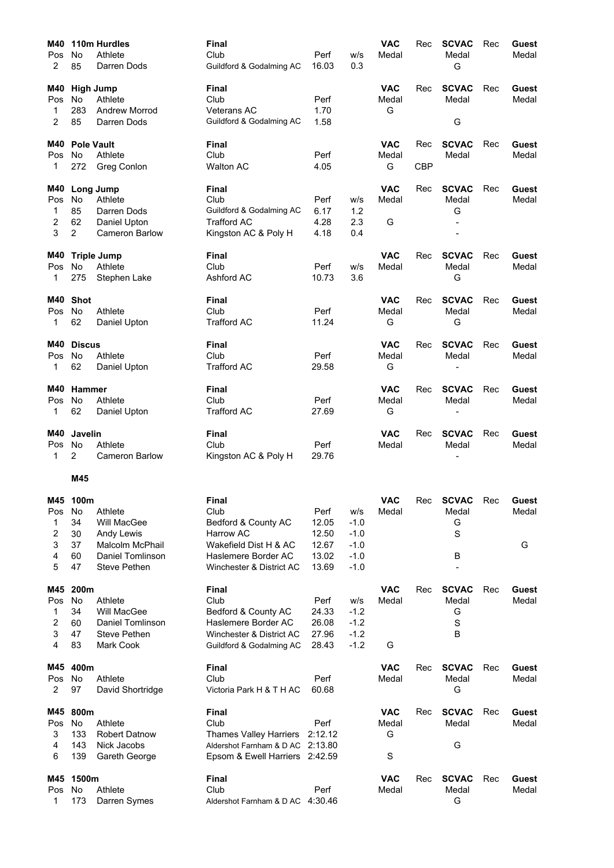| M40            |                      | 110m Hurdles           | <b>Final</b>                     |               |               | <b>VAC</b>          | Rec        | <b>SCVAC</b>          | Rec | <b>Guest</b>   |
|----------------|----------------------|------------------------|----------------------------------|---------------|---------------|---------------------|------------|-----------------------|-----|----------------|
| Pos            | No                   | Athlete                | Club                             | Perf          | w/s           | Medal               |            | Medal                 |     | Medal          |
| 2              | 85                   | Darren Dods            | Guildford & Godalming AC         | 16.03         | 0.3           |                     |            | G                     |     |                |
| M40            | <b>High Jump</b>     |                        | <b>Final</b>                     |               |               | <b>VAC</b>          | Rec        | <b>SCVAC</b>          | Rec | Guest          |
| Pos            | No                   | Athlete                | Club                             | Perf          |               | Medal               |            | Medal                 |     | Medal          |
| 1              | 283                  | <b>Andrew Morrod</b>   | <b>Veterans AC</b>               | 1.70          |               | G                   |            |                       |     |                |
| 2              | 85                   | Darren Dods            | Guildford & Godalming AC         | 1.58          |               |                     |            | G                     |     |                |
| M40            | <b>Pole Vault</b>    |                        | <b>Final</b>                     |               |               | <b>VAC</b>          | Rec        | <b>SCVAC</b>          | Rec | Guest          |
| <b>Pos</b>     | No                   | Athlete                | Club                             | Perf          |               | Medal               |            | Medal                 |     | Medal          |
| 1              | 272                  | Greg Conlon            | <b>Walton AC</b>                 | 4.05          |               | G                   | <b>CBP</b> |                       |     |                |
| M40            |                      | Long Jump              | <b>Final</b>                     |               |               | <b>VAC</b>          | Rec        | <b>SCVAC</b>          | Rec | Guest          |
| Pos            | No                   | Athlete                | Club                             | Perf          | w/s           | Medal               |            | Medal                 |     | Medal          |
| 1              | 85                   | Darren Dods            | Guildford & Godalming AC         | 6.17          | 1.2           |                     |            | G                     |     |                |
| 2<br>3         | 62<br>$\overline{c}$ | Daniel Upton           | <b>Trafford AC</b>               | 4.28<br>4.18  | 2.3<br>0.4    | G                   |            |                       |     |                |
|                |                      | Cameron Barlow         | Kingston AC & Poly H             |               |               |                     |            |                       |     |                |
| M40            |                      | <b>Triple Jump</b>     | <b>Final</b>                     |               |               | <b>VAC</b>          | Rec        | <b>SCVAC</b>          | Rec | Guest          |
| Pos            | No                   | Athlete                | Club                             | Perf          | W/S           | Medal               |            | Medal                 |     | Medal          |
| 1              | 275                  | Stephen Lake           | Ashford AC                       | 10.73         | 3.6           |                     |            | G                     |     |                |
| M40            | <b>Shot</b>          |                        | <b>Final</b>                     |               |               | <b>VAC</b>          | Rec        | <b>SCVAC</b>          | Rec | Guest          |
| Pos            | No                   | Athlete                | Club                             | Perf          |               | Medal               |            | Medal                 |     | Medal          |
| 1              | 62                   | Daniel Upton           | <b>Trafford AC</b>               | 11.24         |               | G                   |            | G                     |     |                |
| M40            | <b>Discus</b>        |                        | <b>Final</b>                     |               |               | <b>VAC</b>          | Rec        | <b>SCVAC</b>          | Rec | Guest          |
| Pos            | No                   | Athlete                | Club                             | Perf          |               | Medal               |            | Medal                 |     | Medal          |
| 1              | 62                   | Daniel Upton           | <b>Trafford AC</b>               | 29.58         |               | G                   |            |                       |     |                |
| M40            | Hammer               |                        | <b>Final</b>                     |               |               | <b>VAC</b>          | Rec        | <b>SCVAC</b>          | Rec | Guest          |
| Pos            | No                   | Athlete                | Club                             | Perf          |               | Medal               |            | Medal                 |     | Medal          |
| 1              | 62                   | Daniel Upton           | <b>Trafford AC</b>               | 27.69         |               | G                   |            |                       |     |                |
| M40            | Javelin              |                        | <b>Final</b>                     |               |               | <b>VAC</b>          | Rec        | <b>SCVAC</b>          | Rec | <b>Guest</b>   |
| Pos            | No                   | Athlete                | Club                             | Perf          |               | Medal               |            | Medal                 |     | Medal          |
|                |                      |                        |                                  |               |               |                     |            |                       |     |                |
| 1              | 2                    | <b>Cameron Barlow</b>  | Kingston AC & Poly H             | 29.76         |               |                     |            |                       |     |                |
|                | M45                  |                        |                                  |               |               |                     |            |                       |     |                |
|                |                      |                        |                                  |               |               |                     |            |                       |     |                |
|                | M45 100m             |                        | Final                            |               |               | <b>VAC</b>          |            | Rec SCVAC Rec         |     | Guest          |
| Pos<br>1       | No<br>34             | Athlete<br>Will MacGee | Club                             | Perf<br>12.05 | w/s<br>$-1.0$ | Medal               |            | Medal                 |     | Medal          |
| 2              | 30                   | Andy Lewis             | Bedford & County AC<br>Harrow AC | 12.50         | $-1.0$        |                     |            | G<br>S                |     |                |
| 3              | 37                   | Malcolm McPhail        | Wakefield Dist H & AC            | 12.67         | $-1.0$        |                     |            |                       |     | G              |
| 4              | 60                   | Daniel Tomlinson       | Haslemere Border AC              | 13.02         | $-1.0$        |                     |            | В                     |     |                |
| 5              | 47                   | <b>Steve Pethen</b>    | Winchester & District AC         | 13.69         | $-1.0$        |                     |            |                       |     |                |
| M45            | 200m                 |                        | <b>Final</b>                     |               |               | <b>VAC</b>          | Rec        | <b>SCVAC</b>          | Rec | Guest          |
| Pos            | No                   | Athlete                | Club                             | Perf          | W/S           | Medal               |            | Medal                 |     | Medal          |
| 1              | 34                   | Will MacGee            | Bedford & County AC              | 24.33         | $-1.2$        |                     |            | G                     |     |                |
| 2              | 60                   | Daniel Tomlinson       | Haslemere Border AC              | 26.08         | $-1.2$        |                     |            | S                     |     |                |
| 3              | 47                   | Steve Pethen           | Winchester & District AC         | 27.96         | $-1.2$        |                     |            | В                     |     |                |
| 4              | 83                   | Mark Cook              | Guildford & Godalming AC         | 28.43         | $-1.2$        | G                   |            |                       |     |                |
| M45            | 400m                 |                        | <b>Final</b>                     |               |               | <b>VAC</b>          | Rec        | <b>SCVAC</b>          | Rec | Guest          |
| Pos            | No                   | Athlete                | Club                             | Perf          |               | Medal               |            | Medal                 |     | Medal          |
| $\overline{2}$ | 97                   | David Shortridge       | Victoria Park H & T H AC         | 60.68         |               |                     |            | G                     |     |                |
| M45            | 800m                 |                        | <b>Final</b>                     |               |               | <b>VAC</b>          | Rec        | <b>SCVAC</b>          | Rec | <b>Guest</b>   |
| Pos            | No                   | Athlete                | Club                             | Perf          |               | Medal               |            | Medal                 |     | Medal          |
| 3              | 133                  | <b>Robert Datnow</b>   | <b>Thames Valley Harriers</b>    | 2:12.12       |               | G                   |            |                       |     |                |
| 4<br>6         | 143<br>139           | Nick Jacobs            | Aldershot Farnham & D AC 2:13.80 |               |               | S                   |            | G                     |     |                |
|                |                      | Gareth George          | Epsom & Ewell Harriers 2:42.59   |               |               |                     |            |                       |     |                |
| M45<br>Pos     | 1500m<br>No          | Athlete                | <b>Final</b><br>Club             | Perf          |               | <b>VAC</b><br>Medal | Rec        | <b>SCVAC</b><br>Medal | Rec | Guest<br>Medal |
| 1              | 173                  | Darren Symes           | Aldershot Farnham & D AC 4:30.46 |               |               |                     |            | G                     |     |                |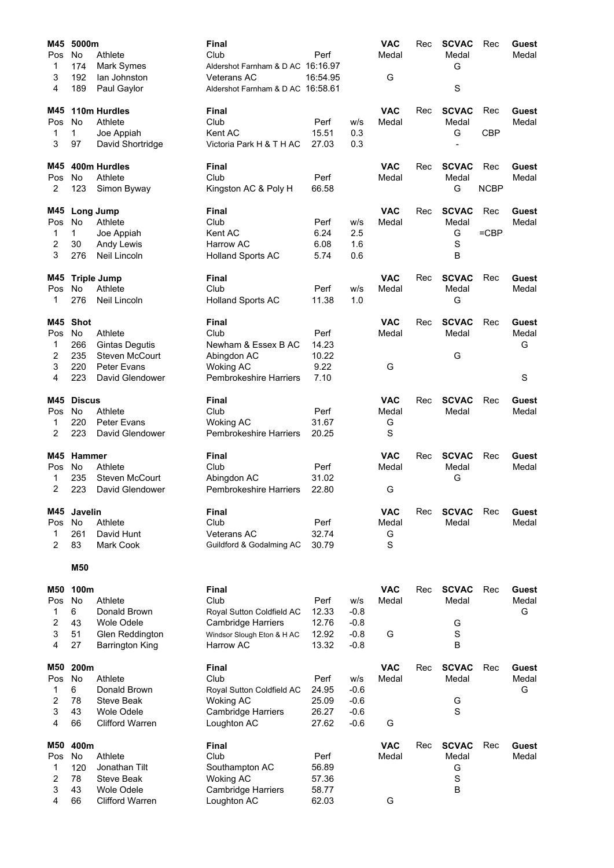| M45        | 5000m         |                                   | <b>Final</b>                                            |                |                  | <b>VAC</b>          | Rec | <b>SCVAC</b>          | Rec         | Guest          |
|------------|---------------|-----------------------------------|---------------------------------------------------------|----------------|------------------|---------------------|-----|-----------------------|-------------|----------------|
| Pos        | No.           | Athlete                           | Club                                                    | Perf           |                  | Medal               |     | Medal                 |             | Medal          |
| 1          | 174           | Mark Symes                        | Aldershot Farnham & D AC 16:16.97                       |                |                  |                     |     | G                     |             |                |
| 3<br>4     | 192<br>189    | lan Johnston                      | <b>Veterans AC</b><br>Aldershot Farnham & D AC 16:58.61 | 16:54.95       |                  | G                   |     | S                     |             |                |
|            |               | Paul Gaylor                       |                                                         |                |                  |                     |     |                       |             |                |
| M45        |               | 110m Hurdles                      | Final                                                   |                |                  | <b>VAC</b>          | Rec | <b>SCVAC</b>          | Rec         | Guest          |
| Pos        | No            | Athlete                           | Club                                                    | Perf           | w/s              | Medal               |     | Medal                 |             | Medal          |
| 1          | 1             | Joe Appiah                        | Kent AC                                                 | 15.51          | 0.3              |                     |     | G                     | <b>CBP</b>  |                |
| 3          | 97            | David Shortridge                  | Victoria Park H & T H AC                                | 27.03          | 0.3              |                     |     |                       |             |                |
| M45        |               | 400m Hurdles                      | Final                                                   |                |                  | <b>VAC</b>          | Rec | <b>SCVAC</b>          | Rec         | Guest          |
| Pos        | No            | Athlete                           | Club                                                    | Perf           |                  | Medal               |     | Medal                 |             | Medal          |
| 2          | 123           | Simon Byway                       | Kingston AC & Poly H                                    | 66.58          |                  |                     |     | G                     | <b>NCBP</b> |                |
| M45        |               | Long Jump                         | Final                                                   |                |                  | <b>VAC</b>          | Rec | <b>SCVAC</b>          | Rec         | Guest          |
| Pos        | <b>No</b>     | Athlete                           | Club                                                    | Perf           | w/s              | Medal               |     | Medal                 |             | Medal          |
| 1          | 1.            | Joe Appiah                        | Kent AC                                                 | 6.24           | 2.5              |                     |     | G                     | $=$ CBP     |                |
| 2          | 30            | Andy Lewis                        | <b>Harrow AC</b>                                        | 6.08           | 1.6              |                     |     | S                     |             |                |
| 3          | 276           | Neil Lincoln                      | <b>Holland Sports AC</b>                                | 5.74           | 0.6              |                     |     | B                     |             |                |
| M45        |               | <b>Triple Jump</b>                | <b>Final</b>                                            |                |                  | <b>VAC</b>          | Rec | <b>SCVAC</b>          | Rec         | Guest          |
| Pos        | No            | Athlete                           | Club                                                    | Perf           | W/S              | Medal               |     | Medal                 |             | Medal          |
| 1          | 276           | Neil Lincoln                      | <b>Holland Sports AC</b>                                | 11.38          | 1.0              |                     |     | G                     |             |                |
| M45        | <b>Shot</b>   |                                   | Final                                                   |                |                  | <b>VAC</b>          | Rec | <b>SCVAC</b>          | Rec         | Guest          |
| Pos        | <b>No</b>     | Athlete                           | Club                                                    | Perf           |                  | Medal               |     | Medal                 |             | Medal          |
| 1          | 266           | <b>Gintas Degutis</b>             | Newham & Essex B AC                                     | 14.23          |                  |                     |     |                       |             | G              |
| 2          | 235           | Steven McCourt                    | Abingdon AC                                             | 10.22          |                  |                     |     | G                     |             |                |
| 3          | 220           | Peter Evans                       | <b>Woking AC</b>                                        | 9.22           |                  | G                   |     |                       |             |                |
| 4          | 223           | David Glendower                   | <b>Pembrokeshire Harriers</b>                           | 7.10           |                  |                     |     |                       |             | S              |
| M45        | <b>Discus</b> |                                   | Final                                                   |                |                  | <b>VAC</b>          | Rec | <b>SCVAC</b>          | Rec         | Guest          |
| Pos        | No            | Athlete                           | Club                                                    | Perf           |                  | Medal               |     | Medal                 |             | Medal          |
| 1          | 220           | <b>Peter Evans</b>                | <b>Woking AC</b>                                        | 31.67          |                  | G                   |     |                       |             |                |
| 2          | 223           | David Glendower                   | <b>Pembrokeshire Harriers</b>                           | 20.25          |                  | S                   |     |                       |             |                |
| M45        | Hammer        |                                   | <b>Final</b>                                            |                |                  | <b>VAC</b>          | Rec | <b>SCVAC</b>          | Rec         | Guest          |
| Pos        | <b>No</b>     | Athlete                           | Club                                                    | Perf           |                  | Medal               |     | Medal                 |             | Medal          |
| 1          | 235           | Steven McCourt                    | Abingdon AC                                             | 31.02          |                  |                     |     | G                     |             |                |
| 2          | 223           | David Glendower                   | <b>Pembrokeshire Harriers</b>                           | 22.80          |                  | G                   |     |                       |             |                |
| M45        | Javelin       |                                   | Final                                                   |                |                  | <b>VAC</b>          | Rec | <b>SCVAC</b>          | Rec         | Guest          |
| Pos        | No            | Athlete                           | Club                                                    | Perf           |                  | Medal               |     | Medal                 |             | Medal          |
| 1          | 261           | David Hunt                        | <b>Veterans AC</b>                                      | 32.74          |                  | G                   |     |                       |             |                |
| 2          | 83            | Mark Cook                         | Guildford & Godalming AC                                | 30.79          |                  | S                   |     |                       |             |                |
|            | M50           |                                   |                                                         |                |                  |                     |     |                       |             |                |
|            |               |                                   |                                                         |                |                  |                     |     |                       |             |                |
| M50        | 100m          |                                   | Final                                                   |                |                  | <b>VAC</b>          | Rec | <b>SCVAC</b>          | Rec         | Guest          |
| Pos        | <b>No</b>     | Athlete                           | Club                                                    | Perf           | w/s              | Medal               |     | Medal                 |             | Medal          |
| 1<br>2     | 6<br>43       | Donald Brown<br><b>Wole Odele</b> | Royal Sutton Coldfield AC<br><b>Cambridge Harriers</b>  | 12.33<br>12.76 | $-0.8$           |                     |     |                       |             | G              |
| 3          | 51            | Glen Reddington                   | Windsor Slough Eton & H AC                              | 12.92          | $-0.8$<br>$-0.8$ | G                   |     | G<br>$\mathbf S$      |             |                |
| 4          | 27            | <b>Barrington King</b>            | Harrow AC                                               | 13.32          | $-0.8$           |                     |     | B                     |             |                |
|            |               |                                   |                                                         |                |                  |                     |     |                       |             |                |
| M50<br>Pos | 200m<br>No    | Athlete                           | <b>Final</b><br>Club                                    | Perf           | W/S              | <b>VAC</b><br>Medal | Rec | <b>SCVAC</b><br>Medal | Rec         | Guest<br>Medal |
| 1          | 6             | Donald Brown                      | Royal Sutton Coldfield AC                               | 24.95          | $-0.6$           |                     |     |                       |             | G              |
| 2          | 78            | <b>Steve Beak</b>                 | <b>Woking AC</b>                                        | 25.09          | $-0.6$           |                     |     | G                     |             |                |
| 3          | 43            | <b>Wole Odele</b>                 | <b>Cambridge Harriers</b>                               | 26.27          | $-0.6$           |                     |     | $\mathbf S$           |             |                |
| 4          | 66            | <b>Clifford Warren</b>            | Loughton AC                                             | 27.62          | $-0.6$           | G                   |     |                       |             |                |
| M50        | 400m          |                                   | <b>Final</b>                                            |                |                  | <b>VAC</b>          | Rec | <b>SCVAC</b>          | Rec         | Guest          |
| Pos        | No            | Athlete                           | Club                                                    | Perf           |                  | Medal               |     | Medal                 |             | Medal          |
| 1          | 120           | Jonathan Tilt                     | Southampton AC                                          | 56.89          |                  |                     |     | G                     |             |                |
| 2          | 78            | Steve Beak                        | <b>Woking AC</b>                                        | 57.36          |                  |                     |     | $\mathbf S$           |             |                |
| 3          | 43            | <b>Wole Odele</b>                 | <b>Cambridge Harriers</b>                               | 58.77          |                  |                     |     | B                     |             |                |
| 4          | 66            | <b>Clifford Warren</b>            | Loughton AC                                             | 62.03          |                  | G                   |     |                       |             |                |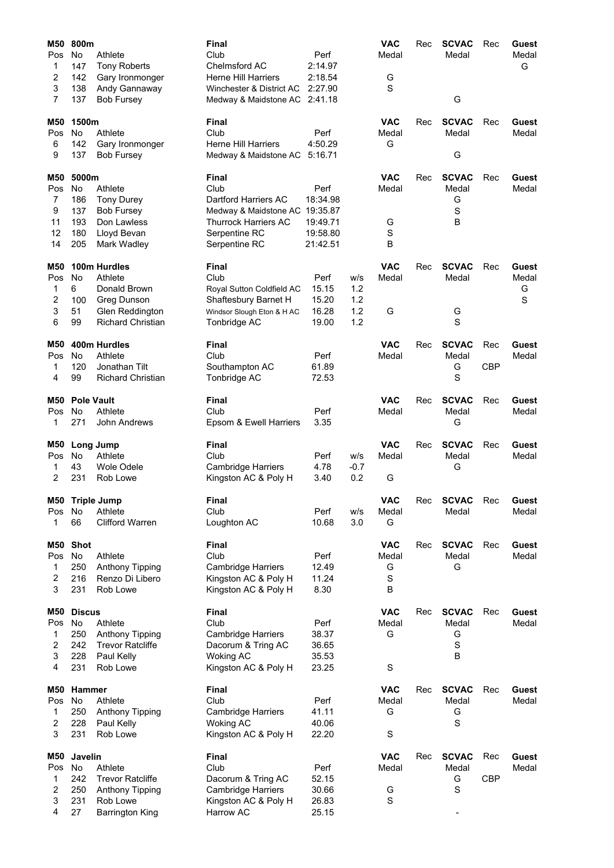| M50<br>Pos<br>1<br>2<br>3<br>7         | 800m<br>No<br>147<br>142<br>138<br>137                | Athlete<br><b>Tony Roberts</b><br>Gary Ironmonger<br>Andy Gannaway<br><b>Bob Fursey</b>               | Final<br>Club<br>Chelmsford AC<br><b>Herne Hill Harriers</b><br>Winchester & District AC<br>Medway & Maidstone AC 2:41.18                | Perf<br>2:14.97<br>2:18.54<br>2:27.90                |                                 | <b>VAC</b><br>Medal<br>G<br>S                | Rec | <b>SCVAC</b><br>Medal<br>G           | Rec               | Guest<br>Medal<br>G      |
|----------------------------------------|-------------------------------------------------------|-------------------------------------------------------------------------------------------------------|------------------------------------------------------------------------------------------------------------------------------------------|------------------------------------------------------|---------------------------------|----------------------------------------------|-----|--------------------------------------|-------------------|--------------------------|
| M50<br>Pos<br>6<br>9                   | 1500m<br>No<br>142<br>137                             | Athlete<br>Gary Ironmonger<br><b>Bob Fursey</b>                                                       | Final<br>Club<br><b>Herne Hill Harriers</b><br>Medway & Maidstone AC                                                                     | Perf<br>4:50.29<br>5:16.71                           |                                 | <b>VAC</b><br>Medal<br>G                     | Rec | <b>SCVAC</b><br>Medal<br>G           | Rec               | Guest<br>Medal           |
| M50<br>Pos<br>7<br>9<br>11<br>12<br>14 | 5000m<br><b>No</b><br>186<br>137<br>193<br>180<br>205 | Athlete<br><b>Tony Durey</b><br><b>Bob Fursey</b><br>Don Lawless<br>Lloyd Bevan<br>Mark Wadley        | Final<br>Club<br>Dartford Harriers AC<br>Medway & Maidstone AC 19:35.87<br><b>Thurrock Harriers AC</b><br>Serpentine RC<br>Serpentine RC | Perf<br>18:34.98<br>19:49.71<br>19:58.80<br>21:42.51 |                                 | <b>VAC</b><br>Medal<br>G<br>S<br>B           | Rec | <b>SCVAC</b><br>Medal<br>G<br>S<br>B | Rec               | Guest<br>Medal           |
| M50<br>Pos<br>1<br>2<br>3<br>6         | <b>No</b><br>6<br>100<br>51<br>99                     | 100m Hurdles<br>Athlete<br>Donald Brown<br>Greg Dunson<br>Glen Reddington<br><b>Richard Christian</b> | Final<br>Club<br>Royal Sutton Coldfield AC<br>Shaftesbury Barnet H<br>Windsor Slough Eton & H AC<br>Tonbridge AC                         | Perf<br>15.15<br>15.20<br>16.28<br>19.00             | w/s<br>1.2<br>1.2<br>1.2<br>1.2 | <b>VAC</b><br>Medal<br>G                     | Rec | <b>SCVAC</b><br>Medal<br>G<br>S      | Rec               | Guest<br>Medal<br>G<br>S |
| M50<br>Pos<br>1<br>4                   | <b>No</b><br>120<br>99                                | 400m Hurdles<br>Athlete<br>Jonathan Tilt<br><b>Richard Christian</b>                                  | Final<br>Club<br>Southampton AC<br>Tonbridge AC                                                                                          | Perf<br>61.89<br>72.53                               |                                 | <b>VAC</b><br>Medal                          | Rec | <b>SCVAC</b><br>Medal<br>G<br>S      | Rec<br><b>CBP</b> | Guest<br>Medal           |
| M50<br>Pos<br>1                        | <b>Pole Vault</b><br><b>No</b><br>271                 | Athlete<br>John Andrews                                                                               | Final<br>Club<br>Epsom & Ewell Harriers                                                                                                  | Perf<br>3.35                                         |                                 | <b>VAC</b><br>Medal                          | Rec | <b>SCVAC</b><br>Medal<br>G           | Rec               | Guest<br>Medal           |
| M50<br>Pos<br>1<br>2                   | <b>No</b><br>43<br>231                                | Long Jump<br>Athlete<br>Wole Odele<br>Rob Lowe                                                        | Final<br>Club<br><b>Cambridge Harriers</b><br>Kingston AC & Poly H                                                                       | Perf<br>4.78<br>3.40                                 | w/s<br>$-0.7$<br>0.2            | <b>VAC</b><br>Medal<br>G                     | Rec | <b>SCVAC</b><br>Medal<br>G           | Rec               | Guest<br>Medal           |
| Pos<br>1                               | No<br>66                                              | M50 Triple Jump<br>Athlete<br><b>Clifford Warren</b>                                                  | Final<br>Club<br>Loughton AC                                                                                                             | Perf<br>10.68                                        | w/s<br>3.0                      | <b>VAC</b><br>Medal<br>G                     | Rec | <b>SCVAC</b><br>Medal                | Rec               | Guest<br>Medal           |
| M50<br>Pos<br>1<br>2<br>3              | Shot<br>No<br>250<br>216<br>231                       | Athlete<br>Anthony Tipping<br>Renzo Di Libero<br>Rob Lowe                                             | <b>Final</b><br>Club<br><b>Cambridge Harriers</b><br>Kingston AC & Poly H<br>Kingston AC & Poly H                                        | Perf<br>12.49<br>11.24<br>8.30                       |                                 | <b>VAC</b><br>Medal<br>G<br>$\mathbf S$<br>B | Rec | <b>SCVAC</b><br>Medal<br>G           | Rec               | <b>Guest</b><br>Medal    |
| M50<br>Pos<br>1<br>2<br>3<br>4         | <b>Discus</b><br>No<br>250<br>242<br>228<br>231       | Athlete<br>Anthony Tipping<br><b>Trevor Ratcliffe</b><br>Paul Kelly<br>Rob Lowe                       | <b>Final</b><br>Club<br><b>Cambridge Harriers</b><br>Dacorum & Tring AC<br><b>Woking AC</b><br>Kingston AC & Poly H                      | Perf<br>38.37<br>36.65<br>35.53<br>23.25             |                                 | <b>VAC</b><br>Medal<br>G<br>$\mathbf S$      | Rec | <b>SCVAC</b><br>Medal<br>G<br>S<br>B | Rec               | Guest<br>Medal           |
| M50<br>Pos<br>1<br>2<br>3              | Hammer<br>No<br>250<br>228<br>231                     | Athlete<br>Anthony Tipping<br>Paul Kelly<br>Rob Lowe                                                  | Final<br>Club<br><b>Cambridge Harriers</b><br><b>Woking AC</b><br>Kingston AC & Poly H                                                   | Perf<br>41.11<br>40.06<br>22.20                      |                                 | <b>VAC</b><br>Medal<br>G<br>S                | Rec | <b>SCVAC</b><br>Medal<br>G<br>S      | Rec               | Guest<br>Medal           |
| M50<br>Pos<br>1<br>2<br>3<br>4         | Javelin<br>No<br>242<br>250<br>231<br>27              | Athlete<br><b>Trevor Ratcliffe</b><br>Anthony Tipping<br>Rob Lowe<br><b>Barrington King</b>           | <b>Final</b><br>Club<br>Dacorum & Tring AC<br><b>Cambridge Harriers</b><br>Kingston AC & Poly H<br>Harrow AC                             | Perf<br>52.15<br>30.66<br>26.83<br>25.15             |                                 | <b>VAC</b><br>Medal<br>G<br>S                | Rec | <b>SCVAC</b><br>Medal<br>G<br>S      | Rec<br><b>CBP</b> | Guest<br>Medal           |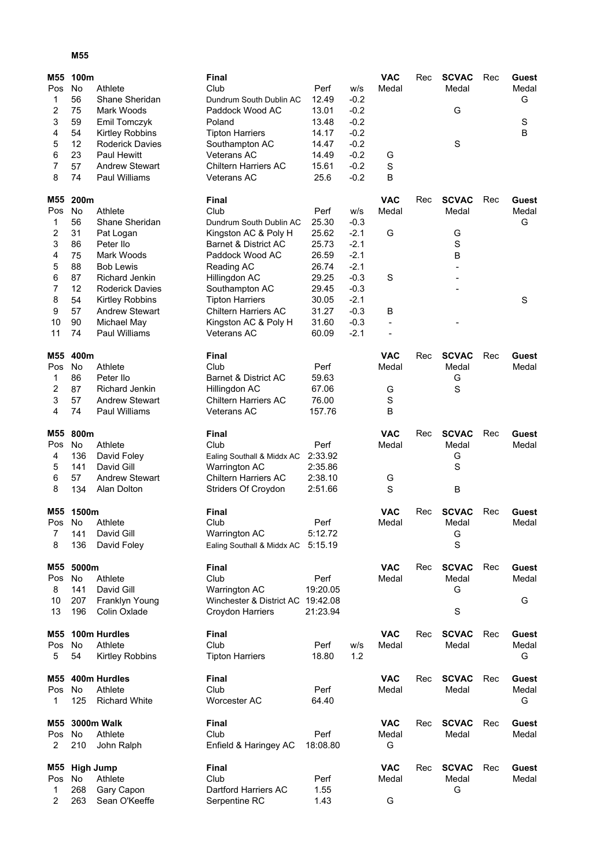## **M55**

| M55                 | 100m          |                                        | <b>Final</b>                                      |               |                  | <b>VAC</b>     | Rec | <b>SCVAC</b> | Rec | Guest |
|---------------------|---------------|----------------------------------------|---------------------------------------------------|---------------|------------------|----------------|-----|--------------|-----|-------|
| Pos                 | No            | Athlete                                | Club                                              | Perf          | W/S              | Medal          |     | Medal        |     | Medal |
| 1                   | 56            | Shane Sheridan                         | Dundrum South Dublin AC                           | 12.49         | $-0.2$           |                |     |              |     | G     |
| $\overline{2}$      | 75            | Mark Woods                             | Paddock Wood AC                                   | 13.01         | $-0.2$           |                |     | G            |     |       |
| 3                   | 59            | Emil Tomczyk                           | Poland                                            | 13.48         | $-0.2$           |                |     |              |     | S     |
| 4                   | 54            | Kirtley Robbins                        | <b>Tipton Harriers</b>                            | 14.17         | $-0.2$           |                |     |              |     | B     |
| 5                   | 12            | <b>Roderick Davies</b>                 | Southampton AC                                    | 14.47         | $-0.2$           |                |     | S            |     |       |
| 6                   | 23            | <b>Paul Hewitt</b>                     | Veterans AC                                       | 14.49         | $-0.2$           | G              |     |              |     |       |
| $\overline{7}$<br>8 | 57<br>74      | <b>Andrew Stewart</b><br>Paul Williams | <b>Chiltern Harriers AC</b><br><b>Veterans AC</b> | 15.61<br>25.6 | $-0.2$<br>$-0.2$ | S<br>B         |     |              |     |       |
|                     |               |                                        |                                                   |               |                  |                |     |              |     |       |
| M55                 | 200m          |                                        | Final                                             |               |                  | <b>VAC</b>     | Rec | <b>SCVAC</b> | Rec | Guest |
| Pos                 | No            | Athlete                                | Club                                              | Perf          | W/S              | Medal          |     | Medal        |     | Medal |
| 1                   | 56            | Shane Sheridan                         | Dundrum South Dublin AC                           | 25.30         | $-0.3$           |                |     |              |     | G     |
| 2                   | 31            | Pat Logan                              | Kingston AC & Poly H                              | 25.62         | $-2.1$           | G              |     | G            |     |       |
| 3                   | 86            | Peter Ilo                              | Barnet & District AC                              | 25.73         | $-2.1$           |                |     | $\mathbf S$  |     |       |
| 4                   | 75            | Mark Woods                             | Paddock Wood AC                                   | 26.59         | $-2.1$           |                |     | B            |     |       |
| 5                   | 88            | <b>Bob Lewis</b>                       | Reading AC                                        | 26.74         | $-2.1$           |                |     |              |     |       |
| 6                   | 87            | <b>Richard Jenkin</b>                  | Hillingdon AC                                     | 29.25         | $-0.3$           | S              |     |              |     |       |
| 7                   | 12            | <b>Roderick Davies</b>                 | Southampton AC                                    | 29.45         | $-0.3$           |                |     |              |     |       |
| 8                   | 54            | Kirtley Robbins                        | <b>Tipton Harriers</b>                            | 30.05         | $-2.1$           |                |     |              |     | S     |
| 9                   | 57            | <b>Andrew Stewart</b>                  | <b>Chiltern Harriers AC</b>                       | 31.27         | $-0.3$           | B              |     |              |     |       |
| 10                  | 90            | Michael May                            | Kingston AC & Poly H                              | 31.60         | $-0.3$           | $\blacksquare$ |     |              |     |       |
| 11                  | 74            | Paul Williams                          | <b>Veterans AC</b>                                | 60.09         | $-2.1$           |                |     |              |     |       |
| M55                 | 400m          |                                        | <b>Final</b>                                      |               |                  | <b>VAC</b>     | Rec | <b>SCVAC</b> | Rec | Guest |
| Pos                 | No            | Athlete                                | Club                                              | Perf          |                  | Medal          |     | Medal        |     | Medal |
| 1                   | 86            | Peter Ilo                              | Barnet & District AC                              | 59.63         |                  |                |     | G            |     |       |
| 2                   | 87            | <b>Richard Jenkin</b>                  | Hillingdon AC                                     | 67.06         |                  | G              |     | $\mathbf S$  |     |       |
| 3                   | 57            | <b>Andrew Stewart</b>                  | <b>Chiltern Harriers AC</b>                       | 76.00         |                  | S              |     |              |     |       |
| 4                   | 74            | Paul Williams                          | <b>Veterans AC</b>                                | 157.76        |                  | B              |     |              |     |       |
|                     |               |                                        |                                                   |               |                  |                |     |              |     |       |
| M55                 | 800m          |                                        | <b>Final</b>                                      |               |                  | <b>VAC</b>     | Rec | <b>SCVAC</b> | Rec | Guest |
| Pos                 | No            | Athlete                                | Club                                              | Perf          |                  | Medal          |     | Medal        |     | Medal |
| 4                   | 136           | David Foley                            | Ealing Southall & Middx AC                        | 2:33.92       |                  |                |     | G            |     |       |
| 5                   | 141           | David Gill                             | Warrington AC                                     | 2:35.86       |                  |                |     | $\mathbf S$  |     |       |
| 6                   | 57            | <b>Andrew Stewart</b>                  | <b>Chiltern Harriers AC</b>                       | 2:38.10       |                  | G              |     |              |     |       |
| 8                   | 134           | Alan Dolton                            | Striders Of Croydon                               | 2:51.66       |                  | S              |     | B            |     |       |
| M55                 | 1500m         |                                        | Final                                             |               |                  | <b>VAC</b>     | Rec | <b>SCVAC</b> | Rec | Guest |
| Pos                 | No            | Athlete                                | Club                                              | Perf          |                  | Medal          |     | Medal        |     | Medal |
| $\prime$            | 141           | David Gill                             | Warrington AC                                     | 5:12.72       |                  |                |     | G            |     |       |
| 8                   | 136           | David Foley                            | Ealing Southall & Middx AC 5:15.19                |               |                  |                |     | $\mathbf S$  |     |       |
|                     |               |                                        |                                                   |               |                  |                |     |              |     |       |
| M55                 | 5000m         |                                        | <b>Final</b>                                      |               |                  | <b>VAC</b>     | Rec | <b>SCVAC</b> | Rec | Guest |
| Pos                 | No            | Athlete                                | Club                                              | Perf          |                  | Medal          |     | Medal        |     | Medal |
| 8                   | 141           | David Gill                             | Warrington AC                                     | 19:20.05      |                  |                |     | G            |     |       |
| 10                  | 207           | Franklyn Young                         | Winchester & District AC 19:42.08                 |               |                  |                |     |              |     | G     |
| 13                  | 196           | Colin Oxlade                           | Croydon Harriers                                  | 21:23.94      |                  |                |     | $\mathbf S$  |     |       |
| M55                 |               | 100m Hurdles                           | <b>Final</b>                                      |               |                  | <b>VAC</b>     | Rec | <b>SCVAC</b> | Rec | Guest |
| Pos                 | No            | Athlete                                | Club                                              | Perf          | w/s              | Medal          |     | Medal        |     | Medal |
| 5                   | 54            | Kirtley Robbins                        | <b>Tipton Harriers</b>                            | 18.80         | 1.2              |                |     |              |     | G     |
|                     |               |                                        |                                                   |               |                  |                |     |              |     |       |
|                     |               | M55 400m Hurdles                       | <b>Final</b>                                      |               |                  | <b>VAC</b>     | Rec | <b>SCVAC</b> | Rec | Guest |
| Pos                 | No            | Athlete                                | Club                                              | Perf          |                  | Medal          |     | Medal        |     | Medal |
| 1                   | 125           | <b>Richard White</b>                   | Worcester AC                                      | 64.40         |                  |                |     |              |     | G     |
| M55                 |               | 3000m Walk                             | <b>Final</b>                                      |               |                  | <b>VAC</b>     | Rec | <b>SCVAC</b> | Rec | Guest |
| Pos                 | No.           | Athlete                                | Club                                              | Perf          |                  | Medal          |     | Medal        |     | Medal |
| 2                   | 210           | John Ralph                             | Enfield & Haringey AC                             | 18:08.80      |                  | G              |     |              |     |       |
|                     |               |                                        |                                                   |               |                  |                |     |              |     |       |
|                     | M55 High Jump |                                        | Final                                             |               |                  | VAC            | Rec | <b>SCVAC</b> | Rec | Guest |
| Pos                 | No.           | Athlete                                | Club                                              | Perf          |                  | Medal          |     | Medal        |     | Medal |
| 1                   | 268           | Gary Capon                             | Dartford Harriers AC                              | 1.55          |                  |                |     | G            |     |       |
| 2                   | 263           | Sean O'Keeffe                          | Serpentine RC                                     | 1.43          |                  | G              |     |              |     |       |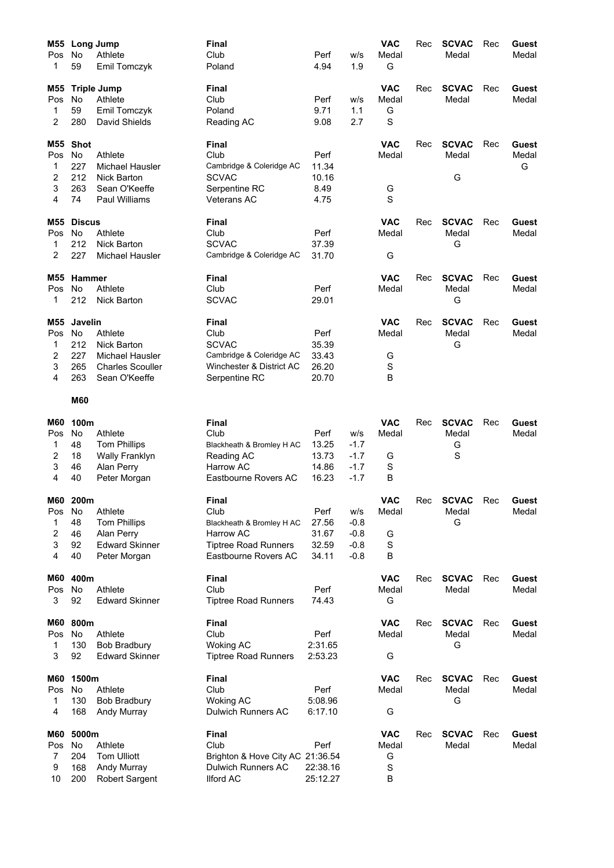| M55        |                | <b>Long Jump</b>              | <b>Final</b>                                  |                      |        | <b>VAC</b>  | Rec | <b>SCVAC</b> | Rec | Guest |
|------------|----------------|-------------------------------|-----------------------------------------------|----------------------|--------|-------------|-----|--------------|-----|-------|
| Pos        | No             | Athlete                       | Club                                          | Perf                 | w/s    | Medal       |     | Medal        |     | Medal |
| 1          | 59             | Emil Tomczyk                  | Poland                                        | 4.94                 | 1.9    | G           |     |              |     |       |
| M55        |                | <b>Triple Jump</b>            | Final                                         |                      |        | <b>VAC</b>  | Rec | <b>SCVAC</b> | Rec | Guest |
| Pos        | No             | Athlete                       | Club                                          | Perf                 | w/s    | Medal       |     | Medal        |     | Medal |
| 1          | 59             | Emil Tomczyk                  | Poland                                        | 9.71                 | 1.1    | G           |     |              |     |       |
| 2          | 280            | David Shields                 | Reading AC                                    | 9.08                 | 2.7    | S           |     |              |     |       |
| M55        | <b>Shot</b>    |                               | <b>Final</b>                                  |                      |        | <b>VAC</b>  | Rec | <b>SCVAC</b> | Rec | Guest |
| Pos        | No             | Athlete                       | Club                                          | Perf                 |        | Medal       |     | Medal        |     | Medal |
| 1          | 227            | Michael Hausler               | Cambridge & Coleridge AC                      | 11.34                |        |             |     |              |     | G     |
| 2          | 212            | Nick Barton                   | <b>SCVAC</b>                                  | 10.16                |        |             |     | G            |     |       |
| 3          | 263            | Sean O'Keeffe                 | Serpentine RC                                 | 8.49                 |        | G           |     |              |     |       |
| 4          | 74             | Paul Williams                 | <b>Veterans AC</b>                            | 4.75                 |        | $\mathbf S$ |     |              |     |       |
| M55        | <b>Discus</b>  |                               | <b>Final</b>                                  |                      |        | <b>VAC</b>  | Rec | <b>SCVAC</b> | Rec | Guest |
| Pos        | <b>No</b>      | Athlete                       | Club                                          | Perf                 |        | Medal       |     | Medal        |     | Medal |
| 1          | 212            | <b>Nick Barton</b>            | <b>SCVAC</b>                                  | 37.39                |        |             |     | G            |     |       |
| 2          | 227            | Michael Hausler               | Cambridge & Coleridge AC                      | 31.70                |        | G           |     |              |     |       |
| M55        | Hammer         |                               | <b>Final</b>                                  |                      |        | <b>VAC</b>  | Rec | <b>SCVAC</b> | Rec | Guest |
| Pos        | <b>No</b>      | Athlete                       | Club                                          | Perf                 |        | Medal       |     | Medal        |     | Medal |
| 1          | 212            | Nick Barton                   | <b>SCVAC</b>                                  | 29.01                |        |             |     | G            |     |       |
| M55        | <b>Javelin</b> |                               | <b>Final</b>                                  |                      |        | <b>VAC</b>  | Rec | <b>SCVAC</b> | Rec | Guest |
| Pos        | No             | Athlete                       | Club                                          | Perf                 |        | Medal       |     | Medal        |     | Medal |
| 1          | 212            | <b>Nick Barton</b>            | <b>SCVAC</b>                                  | 35.39                |        |             |     | G            |     |       |
| 2          | 227            | Michael Hausler               | Cambridge & Coleridge AC                      | 33.43                |        | G           |     |              |     |       |
| 3          | 265            | <b>Charles Scouller</b>       | Winchester & District AC                      | 26.20                |        | S           |     |              |     |       |
| 4          | 263            | Sean O'Keeffe                 | Serpentine RC                                 | 20.70                |        | B           |     |              |     |       |
|            | <b>M60</b>     |                               |                                               |                      |        |             |     |              |     |       |
| M60        | 100m           |                               | <b>Final</b>                                  |                      |        | <b>VAC</b>  | Rec | <b>SCVAC</b> | Rec | Guest |
| Pos        | No             | Athlete                       | Club                                          | Perf                 | W/S    | Medal       |     | Medal        |     | Medal |
| 1          | 48             | <b>Tom Phillips</b>           | Blackheath & Bromley H AC                     | 13.25                | $-1.7$ |             |     | G            |     |       |
| 2          | 18             | <b>Wally Franklyn</b>         | Reading AC                                    | 13.73                | $-1.7$ | G           |     | S            |     |       |
| 3          | 46             | Alan Perry                    | <b>Harrow AC</b>                              | 14.86                | $-1.7$ | S           |     |              |     |       |
| 4          | 40             | Peter Morgan                  | Eastbourne Rovers AC                          | 16.23                | $-1.7$ | B           |     |              |     |       |
| <b>M60</b> | 200m           |                               | Final                                         |                      |        | <b>VAC</b>  | Rec | <b>SCVAC</b> | Rec | Guest |
| Pos        | No             | Athlete                       | Club                                          | Perf                 | w/s    | Medal       |     | Medal        |     | Medal |
| 1          | 48             | <b>Tom Phillips</b>           | Blackheath & Bromley H AC                     | 27.56                | $-0.8$ |             |     | G            |     |       |
| 2          | 46             | Alan Perry                    | Harrow AC                                     | 31.67                | $-0.8$ | G           |     |              |     |       |
| 3          | 92             | <b>Edward Skinner</b>         | <b>Tiptree Road Runners</b>                   | 32.59                | $-0.8$ | $\mathbf S$ |     |              |     |       |
| 4          | 40             | Peter Morgan                  | Eastbourne Rovers AC                          | 34.11                | $-0.8$ | B           |     |              |     |       |
| M60        | 400m           |                               | <b>Final</b>                                  |                      |        | <b>VAC</b>  | Rec | <b>SCVAC</b> | Rec | Guest |
| Pos        | No             | Athlete                       | Club                                          | Perf                 |        | Medal       |     | Medal        |     | Medal |
| 3          | 92             | <b>Edward Skinner</b>         | <b>Tiptree Road Runners</b>                   | 74.43                |        | G           |     |              |     |       |
| <b>M60</b> | 800m           |                               | <b>Final</b>                                  |                      |        | <b>VAC</b>  | Rec | <b>SCVAC</b> | Rec | Guest |
| Pos        | No             | Athlete                       | Club                                          | Perf                 |        | Medal       |     | Medal        |     | Medal |
| 1          | 130            | <b>Bob Bradbury</b>           | <b>Woking AC</b>                              | 2:31.65              |        |             |     | G            |     |       |
| 3          | 92             | <b>Edward Skinner</b>         | <b>Tiptree Road Runners</b>                   | 2:53.23              |        | G           |     |              |     |       |
| <b>M60</b> | 1500m          |                               | <b>Final</b>                                  |                      |        | <b>VAC</b>  | Rec | <b>SCVAC</b> | Rec | Guest |
| Pos        | No             | Athlete                       | Club                                          | Perf                 |        | Medal       |     | Medal        |     | Medal |
| 1          | 130            | <b>Bob Bradbury</b>           | <b>Woking AC</b>                              | 5:08.96              |        |             |     | G            |     |       |
| 4          | 168            | Andy Murray                   | <b>Dulwich Runners AC</b>                     | 6:17.10              |        | G           |     |              |     |       |
| M60        | 5000m          |                               | <b>Final</b>                                  |                      |        | <b>VAC</b>  | Rec | <b>SCVAC</b> | Rec | Guest |
| Pos        | No             | Athlete                       | Club                                          | Perf                 |        | Medal       |     | Medal        |     | Medal |
| 7          | 204            | <b>Tom Ulliott</b>            | Brighton & Hove City AC 21:36.54              |                      |        | G           |     |              |     |       |
|            |                |                               |                                               |                      |        |             |     |              |     |       |
| 9<br>10    | 168<br>200     | Andy Murray<br>Robert Sargent | <b>Dulwich Runners AC</b><br><b>Ilford AC</b> | 22:38.16<br>25:12.27 |        | S<br>B      |     |              |     |       |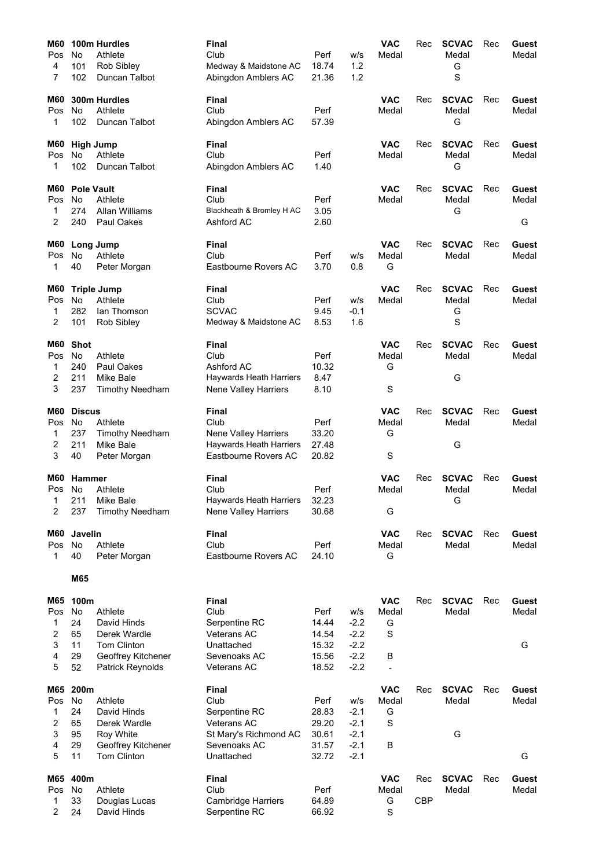| M60        |                   | 100m Hurdles            | Final                                           |                |        | <b>VAC</b>     | Rec        | <b>SCVAC</b>          | Rec | Guest          |
|------------|-------------------|-------------------------|-------------------------------------------------|----------------|--------|----------------|------------|-----------------------|-----|----------------|
| Pos        | No                | Athlete                 | Club                                            | Perf           | w/s    | Medal          |            | Medal                 |     | Medal          |
| 4          | 101               | Rob Sibley              | Medway & Maidstone AC                           | 18.74          | 1.2    |                |            | G                     |     |                |
| 7          | 102               | Duncan Talbot           | Abingdon Amblers AC                             | 21.36          | 1.2    |                |            | S                     |     |                |
|            |                   |                         |                                                 |                |        |                |            |                       |     |                |
| M60<br>Pos | <b>No</b>         | 300m Hurdles<br>Athlete | Final<br>Club                                   | Perf           |        | VAC<br>Medal   | Rec        | <b>SCVAC</b><br>Medal | Rec | Guest<br>Medal |
| 1          | 102               | Duncan Talbot           | Abingdon Amblers AC                             | 57.39          |        |                |            | G                     |     |                |
|            |                   |                         |                                                 |                |        |                |            |                       |     |                |
| M60        | <b>High Jump</b>  |                         | Final                                           |                |        | <b>VAC</b>     | Rec        | <b>SCVAC</b>          | Rec | Guest          |
| Pos        | No                | Athlete                 | Club                                            | Perf           |        | Medal          |            | Medal                 |     | Medal          |
| 1          | 102               | Duncan Talbot           | Abingdon Amblers AC                             | 1.40           |        |                |            | G                     |     |                |
| M60        | <b>Pole Vault</b> |                         | Final                                           |                |        | <b>VAC</b>     | Rec        | <b>SCVAC</b>          | Rec | Guest          |
| Pos        | No                | Athlete                 | Club                                            | Perf           |        | Medal          |            | Medal                 |     | Medal          |
| 1          | 274               | <b>Allan Williams</b>   | Blackheath & Bromley H AC                       | 3.05           |        |                |            | G                     |     |                |
| 2          | 240               | Paul Oakes              | Ashford AC                                      | 2.60           |        |                |            |                       |     | G              |
| M60        | <b>Long Jump</b>  |                         | Final                                           |                |        | <b>VAC</b>     | Rec        | <b>SCVAC</b>          | Rec | Guest          |
| Pos        | No                | Athlete                 | Club                                            | Perf           | w/s    | Medal          |            | Medal                 |     | Medal          |
| 1          | 40                | Peter Morgan            | Eastbourne Rovers AC                            | 3.70           | 0.8    | G              |            |                       |     |                |
| M60        |                   | <b>Triple Jump</b>      | Final                                           |                |        | <b>VAC</b>     | Rec        | <b>SCVAC</b>          | Rec | Guest          |
| Pos        | No.               | Athlete                 | Club                                            | Perf           | w/s    | Medal          |            | Medal                 |     | Medal          |
| 1          | 282               | lan Thomson             | <b>SCVAC</b>                                    | 9.45           | $-0.1$ |                |            | G                     |     |                |
| 2          | 101               | Rob Sibley              | Medway & Maidstone AC                           | 8.53           | 1.6    |                |            | S                     |     |                |
|            |                   |                         |                                                 |                |        |                |            |                       |     |                |
| M60        | <b>Shot</b>       |                         | Final                                           |                |        | <b>VAC</b>     | Rec        | <b>SCVAC</b>          | Rec | Guest          |
| Pos        | <b>No</b>         | Athlete                 | Club                                            | Perf           |        | Medal          |            | Medal                 |     | Medal          |
| 1<br>2     | 240<br>211        | Paul Oakes<br>Mike Bale | Ashford AC<br>Haywards Heath Harriers           | 10.32<br>8.47  |        | G              |            | G                     |     |                |
| 3          | 237               | <b>Timothy Needham</b>  | Nene Valley Harriers                            | 8.10           |        | S              |            |                       |     |                |
|            |                   |                         |                                                 |                |        |                |            |                       |     |                |
| M60        | <b>Discus</b>     |                         | Final                                           |                |        | <b>VAC</b>     | Rec        | <b>SCVAC</b>          | Rec | Guest          |
| Pos        | No                | Athlete                 | Club                                            | Perf           |        | Medal          |            | Medal                 |     | Medal          |
| 1          | 237               | <b>Timothy Needham</b>  | Nene Valley Harriers                            | 33.20          |        | G              |            |                       |     |                |
| 2<br>3     | 211<br>40         | Mike Bale               | Haywards Heath Harriers<br>Eastbourne Rovers AC | 27.48<br>20.82 |        | S              |            | G                     |     |                |
|            |                   | Peter Morgan            |                                                 |                |        |                |            |                       |     |                |
| M60        | Hammer            |                         | Final                                           |                |        | <b>VAC</b>     | Rec        | <b>SCVAC</b>          | Rec | Guest          |
| Pos        | No                | Athlete                 | Club                                            | Perf           |        | Medal          |            | Medal                 |     | Medal          |
| 1          | 211               | Mike Bale               | Haywards Heath Harriers                         | 32.23          |        |                |            | G                     |     |                |
| 2          | 237               | <b>Timothy Needham</b>  | <b>Nene Valley Harriers</b>                     | 30.68          |        | G              |            |                       |     |                |
| M60        | Javelin           |                         | Final                                           |                |        | <b>VAC</b>     | Rec        | <b>SCVAC</b>          | Rec | Guest          |
| Pos        | No                | Athlete                 | Club                                            | Perf           |        | Medal          |            | Medal                 |     | Medal          |
| 1          | 40                | Peter Morgan            | Eastbourne Rovers AC                            | 24.10          |        | G              |            |                       |     |                |
|            | M65               |                         |                                                 |                |        |                |            |                       |     |                |
| M65        | 100m              |                         | Final                                           |                |        | <b>VAC</b>     |            | <b>SCVAC</b>          |     |                |
| Pos        | No                | Athlete                 | Club                                            | Perf           | w/s    | Medal          | Rec        | Medal                 | Rec | Guest<br>Medal |
| 1          | 24                | David Hinds             | Serpentine RC                                   | 14.44          | $-2.2$ | G              |            |                       |     |                |
| 2          | 65                | Derek Wardle            | <b>Veterans AC</b>                              | 14.54          | $-2.2$ | S              |            |                       |     |                |
| 3          | 11                | Tom Clinton             | Unattached                                      | 15.32          | $-2.2$ |                |            |                       |     | G              |
| 4          | 29                | Geoffrey Kitchener      | Sevenoaks AC                                    | 15.56          | $-2.2$ | B              |            |                       |     |                |
| 5          | 52                | <b>Patrick Reynolds</b> | Veterans AC                                     | 18.52          | $-2.2$ | $\blacksquare$ |            |                       |     |                |
| M65        | 200m              |                         | Final                                           |                |        | <b>VAC</b>     | Rec        | <b>SCVAC</b>          | Rec | <b>Guest</b>   |
| Pos        | No                | Athlete                 | Club                                            | Perf           | W/S    | Medal          |            | Medal                 |     | Medal          |
| 1          | 24                | David Hinds             | Serpentine RC                                   | 28.83          | $-2.1$ | G              |            |                       |     |                |
| 2          | 65                | Derek Wardle            | Veterans AC                                     | 29.20          | $-2.1$ | S              |            |                       |     |                |
| 3          | 95                | Roy White               | St Mary's Richmond AC                           | 30.61          | $-2.1$ |                |            | G                     |     |                |
| 4          | 29                | Geoffrey Kitchener      | Sevenoaks AC                                    | 31.57          | $-2.1$ | В              |            |                       |     |                |
| 5          | 11                | Tom Clinton             | Unattached                                      | 32.72          | $-2.1$ |                |            |                       |     | G              |
| M65        | 400m              |                         | Final                                           |                |        | <b>VAC</b>     | Rec        | <b>SCVAC</b>          | Rec | Guest          |
| Pos        | No                | Athlete                 | Club                                            | Perf           |        | Medal          |            | Medal                 |     | Medal          |
| 1          | 33                | Douglas Lucas           | <b>Cambridge Harriers</b>                       | 64.89          |        | G              | <b>CBP</b> |                       |     |                |
| 2          | 24                | David Hinds             | Serpentine RC                                   | 66.92          |        | S              |            |                       |     |                |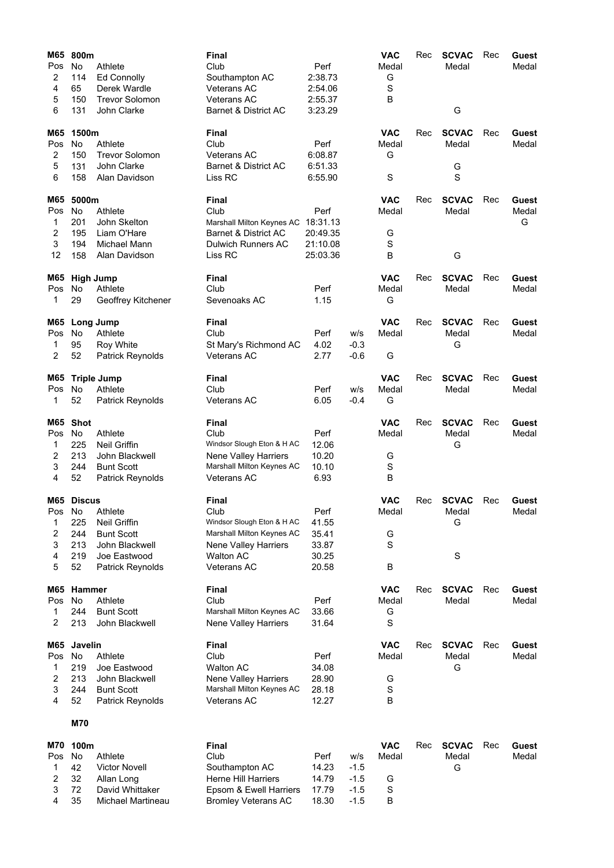| M65    | 800m          |                         | Final                              |          |        | <b>VAC</b>  | Rec | <b>SCVAC</b>  | Rec | <b>Guest</b> |
|--------|---------------|-------------------------|------------------------------------|----------|--------|-------------|-----|---------------|-----|--------------|
| Pos    | No            | Athlete                 | Club                               | Perf     |        | Medal       |     | Medal         |     | Medal        |
| 2      | 114           | <b>Ed Connolly</b>      | Southampton AC                     | 2:38.73  |        | G           |     |               |     |              |
| 4      | 65            | Derek Wardle            | <b>Veterans AC</b>                 | 2:54.06  |        | $\mathbf S$ |     |               |     |              |
| 5      | 150           | <b>Trevor Solomon</b>   | Veterans AC                        | 2:55.37  |        | B           |     |               |     |              |
| 6      | 131           | John Clarke             | Barnet & District AC               | 3:23.29  |        |             |     | G             |     |              |
| M65    | 1500m         |                         | <b>Final</b>                       |          |        | <b>VAC</b>  | Rec | <b>SCVAC</b>  | Rec | Guest        |
| Pos    | No            | Athlete                 | Club                               | Perf     |        | Medal       |     | Medal         |     | Medal        |
| 2      | 150           | <b>Trevor Solomon</b>   | <b>Veterans AC</b>                 | 6:08.87  |        | G           |     |               |     |              |
| 5      | 131           | John Clarke             | <b>Barnet &amp; District AC</b>    | 6:51.33  |        |             |     | G             |     |              |
| 6      | 158           | Alan Davidson           | Liss RC                            | 6:55.90  |        | S           |     | $\mathbf S$   |     |              |
| M65    | 5000m         |                         | <b>Final</b>                       |          |        | <b>VAC</b>  | Rec | <b>SCVAC</b>  | Rec | Guest        |
| Pos    | No            | Athlete                 | Club                               | Perf     |        | Medal       |     | Medal         |     | Medal        |
| 1      | 201           | John Skelton            | Marshall Milton Keynes AC 18:31.13 |          |        |             |     |               |     | G            |
| 2      | 195           | Liam O'Hare             | Barnet & District AC               | 20:49.35 |        | G           |     |               |     |              |
| 3      | 194           | Michael Mann            | <b>Dulwich Runners AC</b>          | 21:10.08 |        | S           |     |               |     |              |
| 12     | 158           | Alan Davidson           | Liss RC                            | 25:03.36 |        | B           |     | G             |     |              |
| M65    |               | <b>High Jump</b>        | <b>Final</b>                       |          |        | <b>VAC</b>  | Rec | <b>SCVAC</b>  | Rec | Guest        |
| Pos    | No            | Athlete                 | Club                               | Perf     |        | Medal       |     | Medal         |     | Medal        |
| 1      | 29            | Geoffrey Kitchener      | Sevenoaks AC                       | 1.15     |        | G           |     |               |     |              |
|        |               |                         |                                    |          |        |             |     |               |     |              |
| M65    |               | Long Jump               | <b>Final</b>                       |          |        | <b>VAC</b>  | Rec | <b>SCVAC</b>  | Rec | Guest        |
| Pos    | <b>No</b>     | Athlete                 | Club                               | Perf     | W/S    | Medal       |     | Medal         |     | Medal        |
| 1      | 95            | Roy White               | St Mary's Richmond AC              | 4.02     | $-0.3$ |             |     | G             |     |              |
| 2      | 52            | Patrick Reynolds        | Veterans AC                        | 2.77     | $-0.6$ | G           |     |               |     |              |
| M65    |               | <b>Triple Jump</b>      | <b>Final</b>                       |          |        | <b>VAC</b>  | Rec | <b>SCVAC</b>  | Rec | Guest        |
| Pos    | No            | Athlete                 | Club                               | Perf     | W/S    | Medal       |     | Medal         |     | Medal        |
| 1      | 52            | <b>Patrick Reynolds</b> | Veterans AC                        | 6.05     | $-0.4$ | G           |     |               |     |              |
| M65    | <b>Shot</b>   |                         | <b>Final</b>                       |          |        | <b>VAC</b>  | Rec | <b>SCVAC</b>  | Rec | Guest        |
| Pos    | No            | Athlete                 | Club                               | Perf     |        | Medal       |     | Medal         |     | Medal        |
| 1      | 225           | <b>Neil Griffin</b>     | Windsor Slough Eton & H AC         | 12.06    |        |             |     | G             |     |              |
| 2      | 213           | John Blackwell          | Nene Valley Harriers               | 10.20    |        | G           |     |               |     |              |
| 3      | 244           | <b>Bunt Scott</b>       | Marshall Milton Keynes AC          | 10.10    |        | S           |     |               |     |              |
| 4      | 52            | Patrick Reynolds        | Veterans AC                        | 6.93     |        | В           |     |               |     |              |
|        | M65 Discus    |                         | <b>Final</b>                       |          |        | <b>VAC</b>  | Rec | <b>SCVAC</b>  | Rec | Guest        |
| Pos No |               | Athlete                 | Club                               | Perf     |        | Medal       |     | Medal         |     | Medal        |
| 1      | 225           | <b>Neil Griffin</b>     | Windsor Slough Eton & H AC         | 41.55    |        |             |     | G             |     |              |
| 2      | 244           | <b>Bunt Scott</b>       | Marshall Milton Keynes AC          | 35.41    |        | G           |     |               |     |              |
| 3      | 213           | John Blackwell          | <b>Nene Valley Harriers</b>        | 33.87    |        | S           |     |               |     |              |
| 4      | 219           | Joe Eastwood            | <b>Walton AC</b>                   | 30.25    |        |             |     | S             |     |              |
| 5      | 52            | Patrick Reynolds        | <b>Veterans AC</b>                 | 20.58    |        | В           |     |               |     |              |
| M65    | <b>Hammer</b> |                         | <b>Final</b>                       |          |        | <b>VAC</b>  | Rec | <b>SCVAC</b>  | Rec | Guest        |
| Pos    | No            | Athlete                 | Club                               | Perf     |        | Medal       |     | Medal         |     | Medal        |
| 1      | 244           | <b>Bunt Scott</b>       | Marshall Milton Keynes AC          | 33.66    |        | G           |     |               |     |              |
| 2      | 213           | John Blackwell          | Nene Valley Harriers               | 31.64    |        | S           |     |               |     |              |
| M65    | Javelin       |                         | Final                              |          |        | <b>VAC</b>  | Rec | <b>SCVAC</b>  | Rec | Guest        |
| Pos    | No            | Athlete                 | Club                               | Perf     |        | Medal       |     | Medal         |     | Medal        |
| 1      | 219           | Joe Eastwood            | <b>Walton AC</b>                   | 34.08    |        |             |     | G             |     |              |
| 2      | 213           | John Blackwell          | Nene Valley Harriers               | 28.90    |        | G           |     |               |     |              |
| 3      | 244           | <b>Bunt Scott</b>       | Marshall Milton Keynes AC          | 28.18    |        | S           |     |               |     |              |
| 4      | 52            | Patrick Reynolds        | Veterans AC                        | 12.27    |        | B           |     |               |     |              |
|        |               |                         |                                    |          |        |             |     |               |     |              |
|        | <b>M70</b>    |                         |                                    |          |        |             |     |               |     |              |
|        | M70 100m      |                         | Final                              |          |        | <b>VAC</b>  |     | Rec SCVAC Rec |     | Guest        |

|        | M70 100m     |                      | Final                             |            |        | VAC   | Rec <b>SCVAC</b> Rec | Guest |
|--------|--------------|----------------------|-----------------------------------|------------|--------|-------|----------------------|-------|
| Pos No |              | Athlete              | Club                              | Perf       | w/s    | Medal | Medal                | Medal |
|        | $1 \quad 42$ | <b>Victor Novell</b> | Southampton AC                    | 14.23      | $-1.5$ |       | G                    |       |
| 2 32   |              | Allan Long           | <b>Herne Hill Harriers</b>        | 14.79 -1.5 |        |       |                      |       |
| 3 72   |              | David Whittaker      | Epsom & Ewell Harriers 17.79 -1.5 |            |        |       |                      |       |
| 4 35   |              | Michael Martineau    | Bromley Veterans AC 18.30         |            | $-1.5$ | в     |                      |       |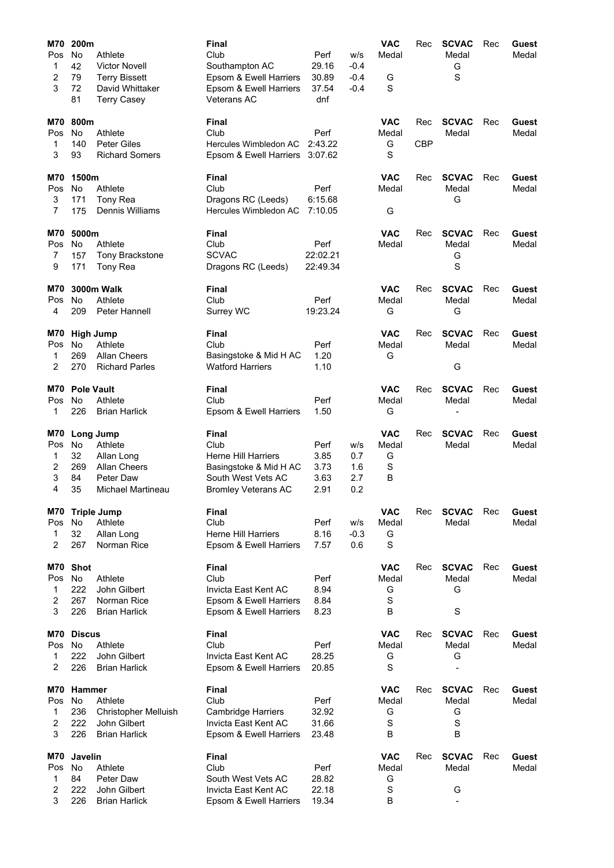| <b>M70</b><br>Pos       | 200m<br>No        | Athlete                               | <b>Final</b><br>Club                              | Perf                 | W/S        | <b>VAC</b><br>Medal | Rec        | <b>SCVAC</b><br>Medal | Rec | Guest<br>Medal |
|-------------------------|-------------------|---------------------------------------|---------------------------------------------------|----------------------|------------|---------------------|------------|-----------------------|-----|----------------|
| 1                       | 42                | <b>Victor Novell</b>                  | Southampton AC                                    | 29.16                | $-0.4$     |                     |            | G                     |     |                |
| 2                       | 79                | <b>Terry Bissett</b>                  | Epsom & Ewell Harriers                            | 30.89                | $-0.4$     | G                   |            | S                     |     |                |
| 3                       | 72<br>81          | David Whittaker<br><b>Terry Casey</b> | Epsom & Ewell Harriers<br><b>Veterans AC</b>      | 37.54<br>dnf         | $-0.4$     | S                   |            |                       |     |                |
|                         |                   |                                       |                                                   |                      |            |                     |            |                       |     |                |
| M70<br>Pos              | 800m<br><b>No</b> | Athlete                               | Final<br>Club                                     | Perf                 |            | <b>VAC</b><br>Medal | Rec        | <b>SCVAC</b><br>Medal | Rec | Guest<br>Medal |
| 1                       | 140               | <b>Peter Giles</b>                    | Hercules Wimbledon AC                             | 2:43.22              |            | G                   | <b>CBP</b> |                       |     |                |
| 3                       | 93                | <b>Richard Somers</b>                 | Epsom & Ewell Harriers                            | 3:07.62              |            | S                   |            |                       |     |                |
| M70                     | 1500m             |                                       | Final                                             |                      |            | <b>VAC</b>          | Rec        | <b>SCVAC</b>          | Rec | Guest          |
| Pos                     | No.               | Athlete                               | Club                                              | Perf                 |            | Medal               |            | Medal                 |     | Medal          |
| 3                       | 171               | Tony Rea                              | Dragons RC (Leeds)                                | 6:15.68              |            |                     |            | G                     |     |                |
| 7                       | 175               | Dennis Williams                       | Hercules Wimbledon AC                             | 7:10.05              |            | G                   |            |                       |     |                |
| M70                     | 5000m             |                                       | Final                                             |                      |            | <b>VAC</b>          | Rec        | <b>SCVAC</b>          | Rec | Guest          |
| Pos                     | No.               | Athlete                               | Club                                              | Perf                 |            | Medal               |            | Medal                 |     | Medal          |
| 7<br>9                  | 157<br>171        | <b>Tony Brackstone</b>                | <b>SCVAC</b>                                      | 22:02.21<br>22:49.34 |            |                     |            | G<br>S                |     |                |
|                         |                   | Tony Rea                              | Dragons RC (Leeds)                                |                      |            |                     |            |                       |     |                |
| M70                     |                   | <b>3000m Walk</b>                     | Final                                             |                      |            | <b>VAC</b>          | Rec        | <b>SCVAC</b>          | Rec | Guest          |
| Pos<br>4                | No.<br>209        | Athlete<br>Peter Hannell              | Club                                              | Perf<br>19:23.24     |            | Medal               |            | Medal<br>G            |     | Medal          |
|                         |                   |                                       | Surrey WC                                         |                      |            | G                   |            |                       |     |                |
| M70                     |                   | <b>High Jump</b>                      | Final                                             |                      |            | <b>VAC</b>          | Rec        | <b>SCVAC</b>          | Rec | Guest          |
| Pos                     | No.               | Athlete                               | Club                                              | Perf                 |            | Medal               |            | Medal                 |     | Medal          |
| 1<br>2                  | 269<br>270        | Allan Cheers<br><b>Richard Parles</b> | Basingstoke & Mid H AC<br><b>Watford Harriers</b> | 1.20<br>1.10         |            | G                   |            | G                     |     |                |
|                         |                   |                                       |                                                   |                      |            |                     |            |                       |     |                |
| M70                     | <b>Pole Vault</b> |                                       | Final                                             |                      |            | <b>VAC</b>          | Rec        | <b>SCVAC</b>          | Rec | Guest          |
| Pos                     | <b>No</b>         | Athlete                               | Club                                              | Perf                 |            | Medal               |            | Medal                 |     | Medal          |
| 1                       | 226               | <b>Brian Harlick</b>                  | Epsom & Ewell Harriers                            | 1.50                 |            | G                   |            |                       |     |                |
| M70                     |                   | Long Jump                             | Final                                             |                      |            | <b>VAC</b>          | Rec        | <b>SCVAC</b>          | Rec | Guest          |
| Pos                     | No                | Athlete                               | Club                                              | Perf                 | w/s        | Medal               |            | Medal                 |     | Medal          |
| 1                       | 32                | Allan Long                            | <b>Herne Hill Harriers</b>                        | 3.85                 | 0.7        | G                   |            |                       |     |                |
| 2<br>3                  | 269<br>84         | Allan Cheers<br>Peter Daw             | Basingstoke & Mid H AC<br>South West Vets AC      | 3.73<br>3.63         | 1.6<br>2.7 | S<br>В              |            |                       |     |                |
| 4                       | 35                | Michael Martineau                     | <b>Bromley Veterans AC</b>                        | 2.91                 | 0.2        |                     |            |                       |     |                |
| M70                     |                   | <b>Triple Jump</b>                    | <b>Final</b>                                      |                      |            | <b>VAC</b>          | Rec        | <b>SCVAC</b>          | Rec | Guest          |
| Pos                     | No                | Athlete                               | Club                                              | Perf                 | w/s        | Medal               |            | Medal                 |     | Medal          |
| 1                       | 32                | Allan Long                            | <b>Herne Hill Harriers</b>                        | 8.16                 | $-0.3$     | G                   |            |                       |     |                |
| 2                       | 267               | Norman Rice                           | Epsom & Ewell Harriers                            | 7.57                 | 0.6        | S                   |            |                       |     |                |
| M70                     | <b>Shot</b>       |                                       | Final                                             |                      |            | <b>VAC</b>          | Rec        | <b>SCVAC</b>          | Rec | Guest          |
| Pos                     | No                | Athlete                               | Club                                              | Perf                 |            | Medal               |            | Medal                 |     | Medal          |
| 1                       | 222               | John Gilbert                          | Invicta East Kent AC                              | 8.94                 |            | G                   |            | G                     |     |                |
| 2<br>3                  | 267<br>226        | Norman Rice<br><b>Brian Harlick</b>   | Epsom & Ewell Harriers<br>Epsom & Ewell Harriers  | 8.84<br>8.23         |            | S<br>B              |            | S                     |     |                |
|                         |                   |                                       |                                                   |                      |            |                     |            |                       |     |                |
| M70                     | <b>Discus</b>     |                                       | Final                                             |                      |            | <b>VAC</b>          | Rec        | <b>SCVAC</b>          | Rec | Guest          |
| Pos<br>1                | No.<br>222        | Athlete<br>John Gilbert               | Club<br>Invicta East Kent AC                      | Perf<br>28.25        |            | Medal<br>G          |            | Medal<br>G            |     | Medal          |
| 2                       | 226               | <b>Brian Harlick</b>                  | Epsom & Ewell Harriers                            | 20.85                |            | S                   |            |                       |     |                |
| M70                     | <b>Hammer</b>     |                                       | Final                                             |                      |            | <b>VAC</b>          | Rec        | <b>SCVAC</b>          | Rec | Guest          |
| Pos                     | No.               | Athlete                               | Club                                              | Perf                 |            | Medal               |            | Medal                 |     | Medal          |
| 1                       | 236               | Christopher Melluish                  | <b>Cambridge Harriers</b>                         | 32.92                |            | G                   |            | G                     |     |                |
| $\overline{\mathbf{c}}$ | 222               | John Gilbert                          | Invicta East Kent AC                              | 31.66                |            | $\mathbf S$         |            | S                     |     |                |
| 3                       | 226               | <b>Brian Harlick</b>                  | Epsom & Ewell Harriers                            | 23.48                |            | B                   |            | B                     |     |                |
| M70                     | Javelin           |                                       | <b>Final</b>                                      |                      |            | <b>VAC</b>          | Rec        | <b>SCVAC</b>          | Rec | Guest          |
| Pos                     | No                | Athlete                               | Club                                              | Perf                 |            | Medal               |            | Medal                 |     | Medal          |
| 1                       | 84                | Peter Daw                             | South West Vets AC                                | 28.82                |            | G                   |            |                       |     |                |
| 2<br>3                  | 222<br>226        | John Gilbert<br><b>Brian Harlick</b>  | Invicta East Kent AC<br>Epsom & Ewell Harriers    | 22.18<br>19.34       |            | S<br>B              |            | G<br>$\blacksquare$   |     |                |
|                         |                   |                                       |                                                   |                      |            |                     |            |                       |     |                |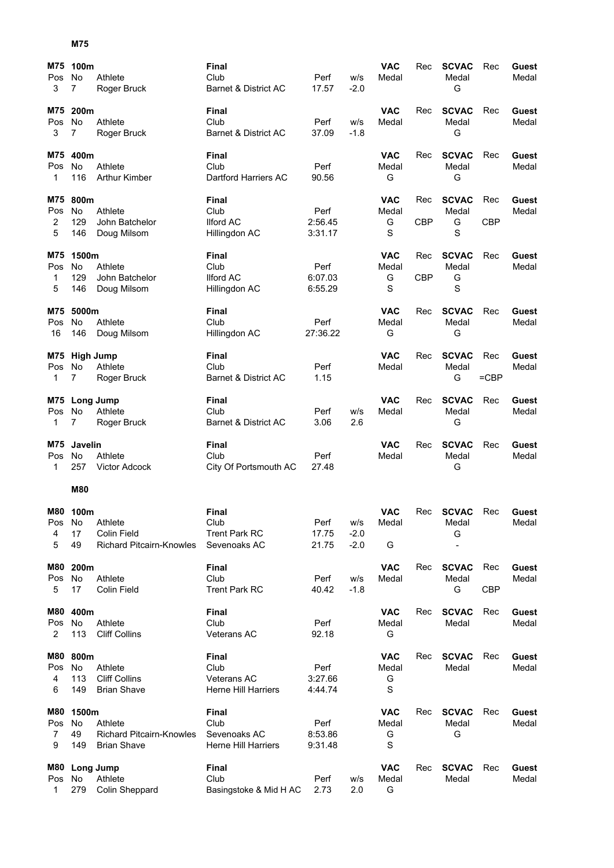## **M75**

| M75<br>Pos<br>3 | 100m<br>No<br>7  | Athlete<br>Roger Bruck          | <b>Final</b><br>Club<br>Barnet & District AC | Perf<br>17.57 | W/S<br>$-2.0$ | <b>VAC</b><br>Medal | Rec        | <b>SCVAC</b><br>Medal<br>G | Rec        | Guest<br>Medal |
|-----------------|------------------|---------------------------------|----------------------------------------------|---------------|---------------|---------------------|------------|----------------------------|------------|----------------|
|                 |                  |                                 |                                              |               |               |                     |            |                            |            |                |
| M75<br>Pos      | 200m<br>No       | Athlete                         | Final<br>Club                                | Perf          | w/s           | <b>VAC</b><br>Medal | Rec        | <b>SCVAC</b><br>Medal      | Rec        | Guest<br>Medal |
| 3               | 7                | Roger Bruck                     | Barnet & District AC                         | 37.09         | $-1.8$        |                     |            | G                          |            |                |
| M75             | 400m             |                                 | Final                                        |               |               | <b>VAC</b>          | Rec        | <b>SCVAC</b>               | Rec        | Guest          |
| Pos             | No               | Athlete                         | Club                                         | Perf          |               | Medal               |            | Medal                      |            | Medal          |
| 1               | 116              | <b>Arthur Kimber</b>            | Dartford Harriers AC                         | 90.56         |               | G                   |            | G                          |            |                |
| M75             | 800m             |                                 | Final                                        |               |               | <b>VAC</b>          | Rec        | <b>SCVAC</b>               | Rec        | Guest          |
| Pos             | No               | Athlete                         | Club                                         | Perf          |               | Medal               |            | Medal                      |            | Medal          |
| 2               | 129              | John Batchelor                  | <b>Ilford AC</b>                             | 2:56.45       |               | G                   | <b>CBP</b> | G                          | <b>CBP</b> |                |
| 5               | 146              | Doug Milsom                     | Hillingdon AC                                | 3:31.17       |               | S                   |            | S                          |            |                |
| M75             | 1500m            |                                 | Final                                        |               |               | <b>VAC</b>          | Rec        | <b>SCVAC</b>               | Rec        | Guest          |
| Pos             | No.              | Athlete                         | Club                                         | Perf          |               | Medal               |            | Medal                      |            | Medal          |
| 1               | 129              | John Batchelor                  | <b>Ilford AC</b>                             | 6:07.03       |               | G                   | CBP        | G                          |            |                |
| 5               | 146              | Doug Milsom                     | Hillingdon AC                                | 6:55.29       |               | S                   |            | S                          |            |                |
| M75             | 5000m            |                                 | Final                                        |               |               | <b>VAC</b>          | Rec        | <b>SCVAC</b>               | Rec        | Guest          |
| Pos             | No               | Athlete                         | Club                                         | Perf          |               | Medal               |            | Medal                      |            | Medal          |
| 16              | 146              | Doug Milsom                     | Hillingdon AC                                | 27:36.22      |               | G                   |            | G                          |            |                |
| M75             |                  | <b>High Jump</b>                | Final                                        |               |               | <b>VAC</b>          | Rec        | <b>SCVAC</b>               | Rec        | Guest          |
| Pos             | No.              | Athlete                         | Club                                         | Perf          |               | Medal               |            | Medal                      |            | Medal          |
| 1               | $\overline{7}$   | Roger Bruck                     | Barnet & District AC                         | 1.15          |               |                     |            | G                          | $=$ CBP    |                |
|                 |                  | M75 Long Jump                   | Final                                        |               |               | <b>VAC</b>          | Rec        | <b>SCVAC</b>               | Rec        | Guest          |
| Pos             | No               | Athlete                         | Club                                         | Perf          | W/S           | Medal               |            | Medal                      |            | Medal          |
| 1               | 7                | Roger Bruck                     | Barnet & District AC                         | 3.06          | 2.6           |                     |            | G                          |            |                |
| M75             | Javelin          |                                 | Final                                        |               |               | <b>VAC</b>          | Rec        | <b>SCVAC</b>               | Rec        | Guest          |
| Pos             | No               | Athlete                         | Club                                         | Perf          |               | Medal               |            | Medal                      |            | Medal          |
| 1               | 257              | <b>Victor Adcock</b>            | City Of Portsmouth AC                        | 27.48         |               |                     |            | G                          |            |                |
|                 | <b>M80</b>       |                                 |                                              |               |               |                     |            |                            |            |                |
|                 | M80 100m         |                                 | Final                                        |               |               | <b>VAC</b>          | Rec        | <b>SCVAC</b>               | Rec        | Guest          |
| Pos             | <b>No</b>        | Athlete                         | Club                                         | Perf          | W/S           | Medal               |            | Medal                      |            | Medal          |
| 4               | 17               | Colin Field                     | <b>Trent Park RC</b>                         | 17.75         | $-2.0$        |                     |            | G                          |            |                |
| 5               | 49               | <b>Richard Pitcairn-Knowles</b> | Sevenoaks AC                                 | 21.75         | $-2.0$        | G                   |            |                            |            |                |
| M80             | 200m             |                                 | <b>Final</b>                                 |               |               | <b>VAC</b>          | Rec        | <b>SCVAC</b>               | Rec        | Guest          |
| Pos             | No               | Athlete                         | Club                                         | Perf          | w/s           | Medal               |            | Medal                      |            | Medal          |
| 5               |                  |                                 |                                              |               |               |                     |            |                            |            |                |
|                 | 17               | <b>Colin Field</b>              | <b>Trent Park RC</b>                         | 40.42         | $-1.8$        |                     |            | G                          | <b>CBP</b> |                |
| M80             | 400m             |                                 | <b>Final</b>                                 |               |               | <b>VAC</b>          | Rec        | <b>SCVAC</b>               | Rec        | Guest          |
| Pos             | No               | Athlete                         | Club                                         | Perf          |               | Medal               |            | Medal                      |            | Medal          |
| 2               | 113              | <b>Cliff Collins</b>            | Veterans AC                                  | 92.18         |               | G                   |            |                            |            |                |
| M80             | 800m             |                                 | Final                                        |               |               | <b>VAC</b>          | Rec        | <b>SCVAC</b>               | Rec        | <b>Guest</b>   |
| Pos             | No               | Athlete                         | Club                                         | Perf          |               | Medal               |            | Medal                      |            | Medal          |
| 4               | 113              | <b>Cliff Collins</b>            | <b>Veterans AC</b>                           | 3:27.66       |               | G                   |            |                            |            |                |
| 6               | 149              | <b>Brian Shave</b>              | <b>Herne Hill Harriers</b>                   | 4:44.74       |               | S                   |            |                            |            |                |
| M80             | 1500m            |                                 | <b>Final</b>                                 |               |               | <b>VAC</b>          | Rec        | <b>SCVAC</b>               | Rec        | <b>Guest</b>   |
| Pos             | No               | Athlete                         | Club                                         | Perf          |               | Medal               |            | Medal                      |            | Medal          |
| 7               | 49               | <b>Richard Pitcairn-Knowles</b> | Sevenoaks AC                                 | 8:53.86       |               | G                   |            | G                          |            |                |
| 9               | 149              | <b>Brian Shave</b>              | <b>Herne Hill Harriers</b>                   | 9:31.48       |               | S                   |            |                            |            |                |
| M80             |                  | <b>Long Jump</b>                | <b>Final</b>                                 |               |               | <b>VAC</b>          | Rec        | <b>SCVAC</b>               | Rec        | <b>Guest</b>   |
| Pos<br>1        | <b>No</b><br>279 | Athlete<br>Colin Sheppard       | Club<br>Basingstoke & Mid H AC               | Perf<br>2.73  | w/s<br>2.0    | Medal<br>G          |            | Medal                      |            | Medal          |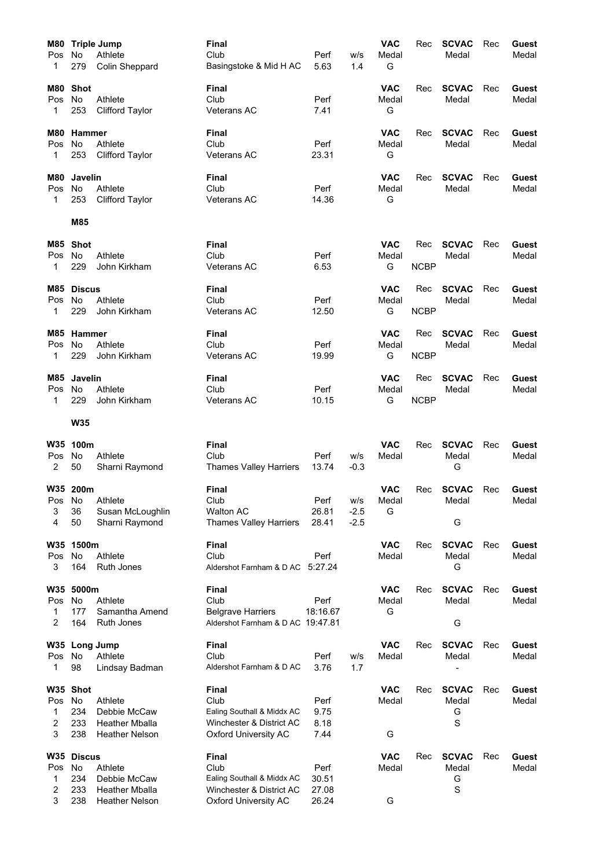| M80<br>Pos<br>1        | No<br>279                             | <b>Triple Jump</b><br>Athlete<br><b>Colin Sheppard</b>                    | <b>Final</b><br>Club<br>Basingstoke & Mid H AC                                                                | Perf<br>5.63                    | w/s<br>1.4              | <b>VAC</b><br>Medal<br>G | Rec                | <b>SCVAC</b><br>Medal           | Rec | Guest<br>Medal        |
|------------------------|---------------------------------------|---------------------------------------------------------------------------|---------------------------------------------------------------------------------------------------------------|---------------------------------|-------------------------|--------------------------|--------------------|---------------------------------|-----|-----------------------|
| M80<br>Pos<br>1        | <b>Shot</b><br>No<br>253              | Athlete<br><b>Clifford Taylor</b>                                         | Final<br>Club<br><b>Veterans AC</b>                                                                           | Perf<br>7.41                    |                         | <b>VAC</b><br>Medal<br>G | Rec                | <b>SCVAC</b><br>Medal           | Rec | Guest<br>Medal        |
| <b>M80</b><br>Pos<br>1 | Hammer<br>No<br>253                   | Athlete<br><b>Clifford Taylor</b>                                         | <b>Final</b><br>Club<br>Veterans AC                                                                           | Perf<br>23.31                   |                         | VAC<br>Medal<br>G        | Rec                | <b>SCVAC</b><br>Medal           | Rec | Guest<br>Medal        |
| M80<br>Pos<br>1        | Javelin<br><b>No</b><br>253           | Athlete<br><b>Clifford Taylor</b>                                         | Final<br>Club<br><b>Veterans AC</b>                                                                           | Perf<br>14.36                   |                         | VAC<br>Medal<br>G        | Rec                | <b>SCVAC</b><br>Medal           | Rec | Guest<br>Medal        |
|                        | M85                                   |                                                                           |                                                                                                               |                                 |                         |                          |                    |                                 |     |                       |
| M85<br>Pos<br>1        | Shot<br>No<br>229                     | Athlete<br>John Kirkham                                                   | <b>Final</b><br>Club<br><b>Veterans AC</b>                                                                    | Perf<br>6.53                    |                         | VAC<br>Medal<br>G        | Rec<br><b>NCBP</b> | <b>SCVAC</b><br>Medal           | Rec | Guest<br>Medal        |
| Pos<br>1               | M85 Discus<br><b>No</b><br>229        | Athlete<br>John Kirkham                                                   | Final<br>Club<br><b>Veterans AC</b>                                                                           | Perf<br>12.50                   |                         | <b>VAC</b><br>Medal<br>G | Rec<br><b>NCBP</b> | <b>SCVAC</b><br>Medal           | Rec | Guest<br>Medal        |
| M85<br>Pos<br>1        | <b>Hammer</b><br><b>No</b><br>229     | Athlete<br>John Kirkham                                                   | <b>Final</b><br>Club<br><b>Veterans AC</b>                                                                    | Perf<br>19.99                   |                         | <b>VAC</b><br>Medal<br>G | Rec<br><b>NCBP</b> | <b>SCVAC</b><br>Medal           | Rec | Guest<br>Medal        |
| M85<br>Pos<br>1        | Javelin<br>No<br>229                  | Athlete<br>John Kirkham                                                   | Final<br>Club<br><b>Veterans AC</b>                                                                           | Perf<br>10.15                   |                         | <b>VAC</b><br>Medal<br>G | Rec<br><b>NCBP</b> | <b>SCVAC</b><br>Medal           | Rec | Guest<br>Medal        |
|                        | <b>W35</b>                            |                                                                           |                                                                                                               |                                 |                         |                          |                    |                                 |     |                       |
| W35<br>Pos<br>2        | 100m<br>No.<br>50                     | Athlete<br>Sharni Raymond                                                 | <b>Final</b><br>Club<br><b>Thames Valley Harriers</b>                                                         | Perf<br>13.74                   | W/S<br>$-0.3$           | VAC<br>Medal             | Rec                | <b>SCVAC</b><br>Medal<br>G      | Rec | Guest<br>Medal        |
| Pos No<br>3<br>4       | W35 200m<br>36<br>50                  | Athlete<br>Susan McLoughlin<br>Sharni Raymond                             | <b>Final</b><br>Club<br><b>Walton AC</b><br>Thames Valley Harriers                                            | Perf<br>26.81<br>28.41          | w/s<br>$-2.5$<br>$-2.5$ | <b>VAC</b><br>Medal<br>G | Rec                | <b>SCVAC</b><br>Medal<br>G      | Rec | Guest<br>Medal        |
| <b>W35</b><br>Pos<br>3 | 1500m<br>No<br>164                    | Athlete<br>Ruth Jones                                                     | <b>Final</b><br>Club<br>Aldershot Farnham & D AC                                                              | Perf<br>5:27.24                 |                         | <b>VAC</b><br>Medal      | Rec                | <b>SCVAC</b><br>Medal<br>G      | Rec | Guest<br>Medal        |
| W35<br>Pos<br>1<br>2   | 5000m<br>No<br>177<br>164             | Athlete<br>Samantha Amend<br>Ruth Jones                                   | <b>Final</b><br>Club<br><b>Belgrave Harriers</b><br>Aldershot Farnham & D AC 19:47.81                         | Perf<br>18:16.67                |                         | <b>VAC</b><br>Medal<br>G | Rec                | <b>SCVAC</b><br>Medal<br>G      | Rec | <b>Guest</b><br>Medal |
| Pos<br>1               | W35 Long Jump<br>No<br>98             | Athlete<br>Lindsay Badman                                                 | <b>Final</b><br>Club<br>Aldershot Farnham & D AC                                                              | Perf<br>3.76                    | w/s<br>1.7              | <b>VAC</b><br>Medal      | Rec                | <b>SCVAC</b><br>Medal           | Rec | Guest<br>Medal        |
| Pos<br>1<br>2<br>3     | W35 Shot<br>No<br>234<br>233<br>238   | Athlete<br>Debbie McCaw<br><b>Heather Mballa</b><br><b>Heather Nelson</b> | <b>Final</b><br>Club<br>Ealing Southall & Middx AC<br>Winchester & District AC<br><b>Oxford University AC</b> | Perf<br>9.75<br>8.18<br>7.44    |                         | <b>VAC</b><br>Medal<br>G | Rec                | <b>SCVAC</b><br>Medal<br>G<br>S | Rec | <b>Guest</b><br>Medal |
| Pos<br>1<br>2<br>3     | W35 Discus<br>No<br>234<br>233<br>238 | Athlete<br>Debbie McCaw<br><b>Heather Mballa</b><br><b>Heather Nelson</b> | <b>Final</b><br>Club<br>Ealing Southall & Middx AC<br>Winchester & District AC<br>Oxford University AC        | Perf<br>30.51<br>27.08<br>26.24 |                         | <b>VAC</b><br>Medal<br>G | Rec                | <b>SCVAC</b><br>Medal<br>G<br>S | Rec | Guest<br>Medal        |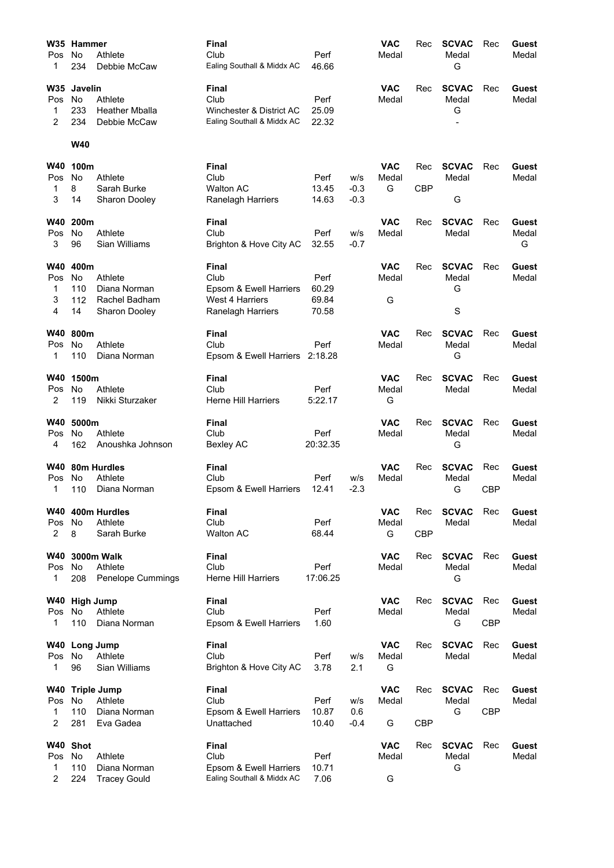| W35            | <b>Hammer</b> |                       | <b>Final</b>                   |                |                  | VAC        | Rec        | <b>SCVAC</b> | Rec        | Guest |
|----------------|---------------|-----------------------|--------------------------------|----------------|------------------|------------|------------|--------------|------------|-------|
| Pos            | No            | Athlete               | Club                           | Perf           |                  | Medal      |            | Medal        |            | Medal |
| 1              | 234           | Debbie McCaw          | Ealing Southall & Middx AC     | 46.66          |                  |            |            | G            |            |       |
| <b>W35</b>     | Javelin       |                       | Final                          |                |                  | <b>VAC</b> | Rec        | <b>SCVAC</b> | Rec        | Guest |
| Pos            | No            | Athlete               | Club                           | Perf           |                  | Medal      |            | Medal        |            | Medal |
| 1              | 233           | <b>Heather Mballa</b> | Winchester & District AC       | 25.09          |                  |            |            | G            |            |       |
| 2              | 234           | Debbie McCaw          | Ealing Southall & Middx AC     | 22.32          |                  |            |            |              |            |       |
|                | W40           |                       |                                |                |                  |            |            |              |            |       |
| <b>W40</b>     | 100m          |                       | <b>Final</b>                   |                |                  | <b>VAC</b> | Rec        | <b>SCVAC</b> | Rec        | Guest |
| Pos            | No            | Athlete               | Club                           | Perf           | W/S              | Medal      |            | Medal        |            | Medal |
| 1<br>3         | 8             | Sarah Burke           | <b>Walton AC</b>               | 13.45<br>14.63 | $-0.3$<br>$-0.3$ | G          | <b>CBP</b> | G            |            |       |
|                | 14            | Sharon Dooley         | Ranelagh Harriers              |                |                  |            |            |              |            |       |
| W40            | 200m          |                       | Final                          |                |                  | <b>VAC</b> | Rec        | <b>SCVAC</b> | Rec        | Guest |
| Pos            | No            | Athlete               | Club                           | Perf           | w/s              | Medal      |            | Medal        |            | Medal |
| 3              | 96            | Sian Williams         | Brighton & Hove City AC        | 32.55          | $-0.7$           |            |            |              |            | G     |
| W40            | 400m          |                       | <b>Final</b>                   |                |                  | <b>VAC</b> | Rec        | <b>SCVAC</b> | Rec        | Guest |
| Pos            | No.           | Athlete               | Club                           | Perf           |                  | Medal      |            | Medal        |            | Medal |
| 1              | 110           | Diana Norman          | Epsom & Ewell Harriers         | 60.29          |                  |            |            | G            |            |       |
| 3              | 112           | Rachel Badham         | <b>West 4 Harriers</b>         | 69.84          |                  | G          |            |              |            |       |
| 4              | 14            | Sharon Dooley         | Ranelagh Harriers              | 70.58          |                  |            |            | S            |            |       |
| W40            | 800m          |                       | Final                          |                |                  | <b>VAC</b> | Rec        | <b>SCVAC</b> | Rec        | Guest |
| Pos            | No            | Athlete               | Club                           | Perf           |                  | Medal      |            | Medal        |            | Medal |
| 1              | 110           | Diana Norman          | Epsom & Ewell Harriers 2:18.28 |                |                  |            |            | G            |            |       |
| W40            | 1500m         |                       | <b>Final</b>                   |                |                  | <b>VAC</b> | Rec        | <b>SCVAC</b> | Rec        | Guest |
| Pos            | <b>No</b>     | Athlete               | Club                           | Perf           |                  | Medal      |            | Medal        |            | Medal |
| 2              | 119           | Nikki Sturzaker       | <b>Herne Hill Harriers</b>     | 5:22.17        |                  | G          |            |              |            |       |
| W40            | 5000m         |                       | Final                          |                |                  | <b>VAC</b> | Rec        | <b>SCVAC</b> | Rec        | Guest |
| Pos            | No            | Athlete               | Club                           | Perf           |                  | Medal      |            | Medal        |            | Medal |
| 4              | 162           | Anoushka Johnson      | Bexley AC                      | 20:32.35       |                  |            |            | G            |            |       |
| W40            |               | 80m Hurdles           | Final                          |                |                  | <b>VAC</b> | Rec        | <b>SCVAC</b> | Rec        | Guest |
| Pos            | No            | Athlete               | Club                           | Perf           | w/s              | Medal      |            | Medal        |            | Medal |
| 1              | 110           | Diana Norman          | Epsom & Ewell Harriers         | 12.41          | $-2.3$           |            |            | G            | <b>CBP</b> |       |
|                |               | W40 400m Hurdles      | Final                          |                |                  | <b>VAC</b> | Rec        | <b>SCVAC</b> | Rec        | Guest |
| Pos            | No            | Athlete               | Club                           | Perf           |                  | Medal      |            | Medal        |            | Medal |
| 2              | 8             | Sarah Burke           | Walton AC                      | 68.44          |                  | G          | <b>CBP</b> |              |            |       |
| <b>W40</b>     |               | 3000m Walk            | <b>Final</b>                   |                |                  | <b>VAC</b> | Rec        | <b>SCVAC</b> | Rec        | Guest |
| Pos            | No            | Athlete               | Club                           | Perf           |                  | Medal      |            | Medal        |            | Medal |
| 1              | 208           | Penelope Cummings     | <b>Herne Hill Harriers</b>     | 17:06.25       |                  |            |            | G            |            |       |
|                | W40 High Jump |                       | Final                          |                |                  | <b>VAC</b> | Rec        | <b>SCVAC</b> | Rec        | Guest |
| Pos            | No.           | Athlete               | Club                           | Perf           |                  | Medal      |            | Medal        |            | Medal |
| $\mathbf{1}$   | 110           | Diana Norman          | Epsom & Ewell Harriers         | 1.60           |                  |            |            | G            | <b>CBP</b> |       |
| W40            |               | Long Jump             | Final                          |                |                  | <b>VAC</b> | Rec        | <b>SCVAC</b> | Rec        | Guest |
| Pos            | No            | Athlete               | Club                           | Perf           | w/s              | Medal      |            | Medal        |            | Medal |
| 1              | 96            | Sian Williams         | Brighton & Hove City AC        | 3.78           | 2.1              | G          |            |              |            |       |
| W40            |               | <b>Triple Jump</b>    | <b>Final</b>                   |                |                  | <b>VAC</b> | Rec        | <b>SCVAC</b> | Rec        | Guest |
| Pos            | No            | Athlete               | Club                           | Perf           | W/S              | Medal      |            | Medal        |            | Medal |
| 1              | 110           | Diana Norman          | Epsom & Ewell Harriers         | 10.87          | 0.6              |            |            | G            | <b>CBP</b> |       |
| 2              | 281           | Eva Gadea             | Unattached                     | 10.40          | $-0.4$           | G          | <b>CBP</b> |              |            |       |
| W40            | <b>Shot</b>   |                       | <b>Final</b>                   |                |                  | <b>VAC</b> | Rec        | <b>SCVAC</b> | Rec        | Guest |
| Pos            | No            | Athlete               | Club                           | Perf           |                  | Medal      |            | Medal        |            | Medal |
| 1              | 110           | Diana Norman          | Epsom & Ewell Harriers         | 10.71          |                  |            |            | G            |            |       |
| $\overline{c}$ | 224           | <b>Tracey Gould</b>   | Ealing Southall & Middx AC     | 7.06           |                  | G          |            |              |            |       |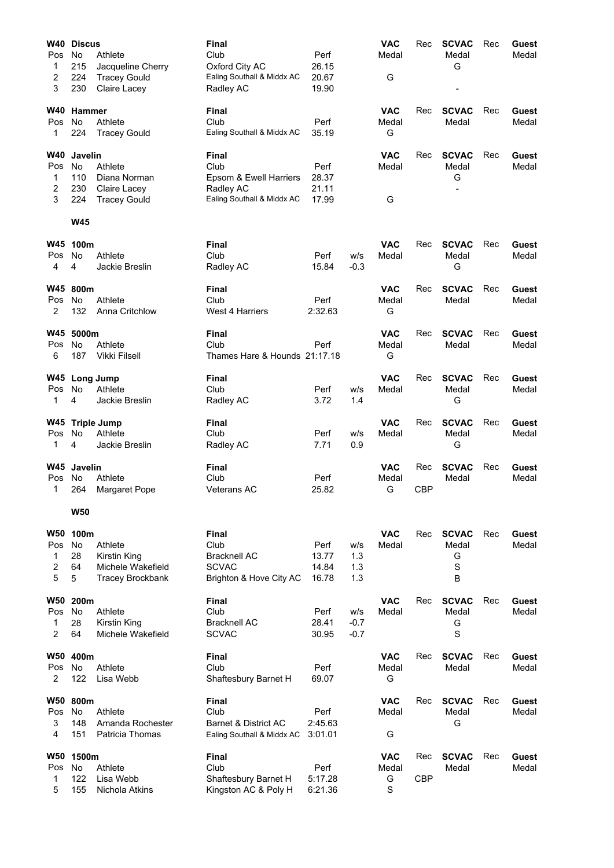| W40        | <b>Discus</b>  |                                          | Final                                        |                |            | <b>VAC</b>          | Rec        | <b>SCVAC</b>          | Rec | Guest          |
|------------|----------------|------------------------------------------|----------------------------------------------|----------------|------------|---------------------|------------|-----------------------|-----|----------------|
| Pos        | No             | Athlete                                  | Club                                         | Perf           |            | Medal               |            | Medal                 |     | Medal          |
| 1<br>2     | 215<br>224     | Jacqueline Cherry<br><b>Tracey Gould</b> | Oxford City AC<br>Ealing Southall & Middx AC | 26.15<br>20.67 |            | G                   |            | G                     |     |                |
| 3          | 230            | Claire Lacey                             | Radley AC                                    | 19.90          |            |                     |            |                       |     |                |
|            |                |                                          |                                              |                |            |                     |            |                       |     |                |
| <b>W40</b> | <b>Hammer</b>  |                                          | Final                                        |                |            | <b>VAC</b>          | Rec        | <b>SCVAC</b>          | Rec | Guest          |
| Pos<br>1   | No<br>224      | Athlete<br><b>Tracey Gould</b>           | Club<br>Ealing Southall & Middx AC           | Perf<br>35.19  |            | Medal<br>G          |            | Medal                 |     | Medal          |
|            |                |                                          |                                              |                |            |                     |            |                       |     |                |
| <b>W40</b> | <b>Javelin</b> |                                          | Final                                        |                |            | <b>VAC</b>          | Rec        | <b>SCVAC</b>          | Rec | Guest          |
| Pos        | <b>No</b>      | Athlete                                  | Club                                         | Perf           |            | Medal               |            | Medal                 |     | Medal          |
| 1          | 110            | Diana Norman                             | Epsom & Ewell Harriers                       | 28.37          |            |                     |            | G                     |     |                |
| 2<br>3     | 230<br>224     | Claire Lacey<br><b>Tracey Gould</b>      | Radley AC<br>Ealing Southall & Middx AC      | 21.11<br>17.99 |            | G                   |            |                       |     |                |
|            |                |                                          |                                              |                |            |                     |            |                       |     |                |
|            | <b>W45</b>     |                                          |                                              |                |            |                     |            |                       |     |                |
| W45        | 100m           |                                          | Final                                        |                |            | <b>VAC</b>          | Rec        | <b>SCVAC</b>          | Rec | Guest          |
| Pos        | No             | Athlete                                  | Club                                         | Perf           | w/s        | Medal               |            | Medal                 |     | Medal          |
| 4          | 4              | Jackie Breslin                           | Radley AC                                    | 15.84          | $-0.3$     |                     |            | G                     |     |                |
| W45        | 800m           |                                          | Final                                        |                |            | <b>VAC</b>          | Rec        | <b>SCVAC</b>          | Rec | Guest          |
| Pos        | No             | Athlete                                  | Club                                         | Perf           |            | Medal               |            | Medal                 |     | Medal          |
| 2          | 132            | Anna Critchlow                           | West 4 Harriers                              | 2:32.63        |            | G                   |            |                       |     |                |
|            |                |                                          |                                              |                |            |                     |            |                       |     |                |
| W45<br>Pos | 5000m<br>No    | Athlete                                  | <b>Final</b><br>Club                         | Perf           |            | <b>VAC</b><br>Medal | Rec        | <b>SCVAC</b><br>Medal | Rec | Guest<br>Medal |
| 6          | 187            | <b>Vikki Filsell</b>                     | Thames Hare & Hounds 21:17.18                |                |            | G                   |            |                       |     |                |
|            |                |                                          |                                              |                |            |                     |            |                       |     |                |
| W45        |                | <b>Long Jump</b>                         | Final                                        |                |            | <b>VAC</b>          | Rec        | <b>SCVAC</b>          | Rec | Guest          |
| Pos<br>1   | No<br>4        | Athlete<br>Jackie Breslin                | Club<br>Radley AC                            | Perf<br>3.72   | W/S<br>1.4 | Medal               |            | Medal<br>G            |     | Medal          |
|            |                |                                          |                                              |                |            |                     |            |                       |     |                |
|            |                | W45 Triple Jump                          | Final                                        |                |            | <b>VAC</b>          | Rec        | <b>SCVAC</b>          | Rec | Guest          |
| Pos        | No             | Athlete<br>Jackie Breslin                | Club                                         | Perf           | w/s        | Medal               |            | Medal                 |     | Medal          |
| 1          | 4              |                                          | Radley AC                                    | 7.71           | 0.9        |                     |            | G                     |     |                |
| W45        | Javelin        |                                          | Final                                        |                |            | <b>VAC</b>          | Rec        | <b>SCVAC</b>          | Rec | Guest          |
| Pos        | No             | Athlete                                  | Club                                         | Perf           |            | Medal               |            | Medal                 |     | Medal          |
| 1          | 264            | <b>Margaret Pope</b>                     | <b>Veterans AC</b>                           | 25.82          |            | G                   | <b>CBP</b> |                       |     |                |
|            | <b>W50</b>     |                                          |                                              |                |            |                     |            |                       |     |                |
| <b>W50</b> | 100m           |                                          | Final                                        |                |            | <b>VAC</b>          |            | <b>SCVAC</b>          |     | Guest          |
| Pos        | No             | Athlete                                  | Club                                         | Perf           | w/s        | Medal               | Rec        | Medal                 | Rec | Medal          |
| 1          | 28             | Kirstin King                             | <b>Bracknell AC</b>                          | 13.77          | 1.3        |                     |            | G                     |     |                |
| 2          | 64             | Michele Wakefield                        | <b>SCVAC</b>                                 | 14.84          | 1.3        |                     |            | $\mathbf S$           |     |                |
| 5          | 5              | <b>Tracey Brockbank</b>                  | Brighton & Hove City AC                      | 16.78          | 1.3        |                     |            | B                     |     |                |
| <b>W50</b> | 200m           |                                          | Final                                        |                |            | <b>VAC</b>          | Rec        | <b>SCVAC</b>          | Rec | Guest          |
| Pos        | <b>No</b>      | Athlete                                  | Club                                         | Perf           | w/s        | Medal               |            | Medal                 |     | Medal          |
| 1          | 28             | Kirstin King                             | <b>Bracknell AC</b>                          | 28.41          | $-0.7$     |                     |            | G                     |     |                |
| 2          | 64             | Michele Wakefield                        | <b>SCVAC</b>                                 | 30.95          | $-0.7$     |                     |            | S                     |     |                |
| W50        | 400m           |                                          | Final                                        |                |            | <b>VAC</b>          | Rec        | <b>SCVAC</b>          | Rec | Guest          |
| Pos        | <b>No</b>      | Athlete                                  | Club                                         | Perf           |            | Medal               |            | Medal                 |     | Medal          |
| 2          | 122            | Lisa Webb                                | Shaftesbury Barnet H                         | 69.07          |            | G                   |            |                       |     |                |
| W50        | 800m           |                                          | Final                                        |                |            | <b>VAC</b>          | Rec        | <b>SCVAC</b>          | Rec | Guest          |
| Pos        | <b>No</b>      | Athlete                                  | Club                                         | Perf           |            | Medal               |            | Medal                 |     | Medal          |
| 3          | 148            | Amanda Rochester                         | Barnet & District AC                         | 2:45.63        |            |                     |            | G                     |     |                |
| 4          | 151            | Patricia Thomas                          | Ealing Southall & Middx AC                   | 3:01.01        |            | G                   |            |                       |     |                |
| W50        | 1500m          |                                          | Final                                        |                |            | <b>VAC</b>          | Rec        | <b>SCVAC</b>          | Rec | Guest          |
| Pos        | No             | Athlete                                  | Club                                         | Perf           |            | Medal               |            | Medal                 |     | Medal          |
| 1          | 122            | Lisa Webb                                | Shaftesbury Barnet H                         | 5:17.28        |            | G                   | <b>CBP</b> |                       |     |                |
| 5          | 155            | Nichola Atkins                           | Kingston AC & Poly H                         | 6:21.36        |            | S                   |            |                       |     |                |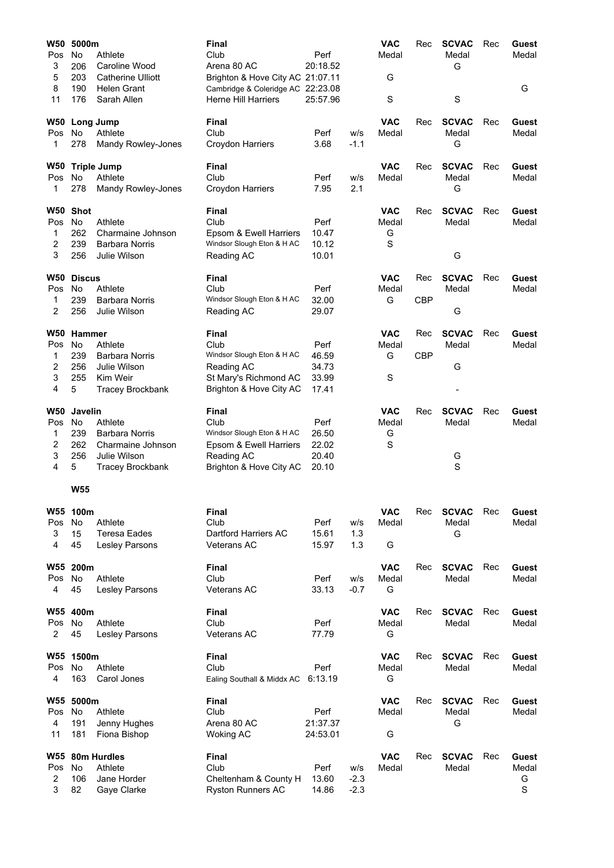| <b>W50</b> | 5000m               |                                         | <b>Final</b>                                                          |                |            | <b>VAC</b>          | Rec        | <b>SCVAC</b>          | Rec | Guest          |
|------------|---------------------|-----------------------------------------|-----------------------------------------------------------------------|----------------|------------|---------------------|------------|-----------------------|-----|----------------|
| Pos        | No                  | Athlete                                 | Club                                                                  | Perf           |            | Medal               |            | Medal                 |     | Medal          |
| 3          | 206                 | Caroline Wood                           | Arena 80 AC                                                           | 20:18.52       |            |                     |            | G                     |     |                |
| 5<br>8     | 203<br>190          | <b>Catherine Ulliott</b><br>Helen Grant | Brighton & Hove City AC 21:07.11<br>Cambridge & Coleridge AC 22:23.08 |                |            | G                   |            |                       |     | G              |
| 11         | 176                 | Sarah Allen                             | <b>Herne Hill Harriers</b>                                            | 25:57.96       |            | $\mathbf S$         |            | $\mathbf S$           |     |                |
|            |                     |                                         |                                                                       |                |            |                     |            |                       |     |                |
| W50        | <b>Long Jump</b>    |                                         | Final                                                                 |                |            | <b>VAC</b>          | Rec        | <b>SCVAC</b>          | Rec | Guest          |
| Pos        | No.                 | Athlete                                 | Club                                                                  | Perf           | w/s        | Medal               |            | Medal                 |     | Medal          |
| 1          | 278                 | Mandy Rowley-Jones                      | Croydon Harriers                                                      | 3.68           | $-1.1$     |                     |            | G                     |     |                |
| W50        |                     | <b>Triple Jump</b>                      | Final                                                                 |                |            | <b>VAC</b>          | Rec        | <b>SCVAC</b>          | Rec | Guest          |
| Pos        | No                  | Athlete                                 | Club                                                                  | Perf           | w/s        | Medal               |            | Medal                 |     | Medal          |
| 1          | 278                 | Mandy Rowley-Jones                      | Croydon Harriers                                                      | 7.95           | 2.1        |                     |            | G                     |     |                |
|            |                     |                                         |                                                                       |                |            |                     |            |                       |     |                |
| W50<br>Pos | <b>Shot</b><br>No   | Athlete                                 | <b>Final</b><br>Club                                                  | Perf           |            | <b>VAC</b><br>Medal | Rec        | <b>SCVAC</b><br>Medal | Rec | Guest<br>Medal |
| 1          | 262                 | Charmaine Johnson                       | Epsom & Ewell Harriers                                                | 10.47          |            | G                   |            |                       |     |                |
| 2          | 239                 | <b>Barbara Norris</b>                   | Windsor Slough Eton & H AC                                            | 10.12          |            | $\mathbf S$         |            |                       |     |                |
| 3          | 256                 | Julie Wilson                            | Reading AC                                                            | 10.01          |            |                     |            | G                     |     |                |
|            |                     |                                         |                                                                       |                |            |                     |            |                       |     |                |
| W50<br>Pos | <b>Discus</b><br>No | Athlete                                 | <b>Final</b><br>Club                                                  | Perf           |            | <b>VAC</b><br>Medal | Rec        | <b>SCVAC</b><br>Medal | Rec | Guest<br>Medal |
| 1          | 239                 | <b>Barbara Norris</b>                   | Windsor Slough Eton & H AC                                            | 32.00          |            | G                   | <b>CBP</b> |                       |     |                |
| 2          | 256                 | Julie Wilson                            | Reading AC                                                            | 29.07          |            |                     |            | G                     |     |                |
|            |                     |                                         |                                                                       |                |            |                     |            |                       |     |                |
| W50        | Hammer              |                                         | Final                                                                 |                |            | <b>VAC</b>          | Rec        | <b>SCVAC</b>          | Rec | Guest          |
| Pos        | No                  | Athlete                                 | Club                                                                  | Perf           |            | Medal               |            | Medal                 |     | Medal          |
| 1          | 239                 | <b>Barbara Norris</b>                   | Windsor Slough Eton & H AC                                            | 46.59          |            | G                   | <b>CBP</b> |                       |     |                |
| 2          | 256                 | Julie Wilson                            | Reading AC                                                            | 34.73          |            |                     |            | G                     |     |                |
| 3<br>4     | 255<br>5            | Kim Weir                                | St Mary's Richmond AC                                                 | 33.99<br>17.41 |            | $\mathbf S$         |            |                       |     |                |
|            |                     | <b>Tracey Brockbank</b>                 | Brighton & Hove City AC                                               |                |            |                     |            |                       |     |                |
| <b>W50</b> | <b>Javelin</b>      |                                         | Final                                                                 |                |            | <b>VAC</b>          | Rec        | <b>SCVAC</b>          | Rec | Guest          |
| Pos        | No.                 | Athlete                                 | Club                                                                  | Perf           |            | Medal               |            | Medal                 |     | Medal          |
| 1          | 239                 | Barbara Norris                          | Windsor Slough Eton & H AC                                            | 26.50          |            | G                   |            |                       |     |                |
| 2          | 262                 | Charmaine Johnson                       | Epsom & Ewell Harriers                                                | 22.02          |            | $\mathbf S$         |            |                       |     |                |
| 3          | 256                 | Julie Wilson                            | Reading AC                                                            | 20.40          |            |                     |            | G                     |     |                |
| 4          | 5                   | <b>Tracey Brockbank</b>                 | Brighton & Hove City AC                                               | 20.10          |            |                     |            | S                     |     |                |
|            | <b>W55</b>          |                                         |                                                                       |                |            |                     |            |                       |     |                |
|            |                     |                                         |                                                                       |                |            |                     |            |                       |     |                |
|            | W55 100m            |                                         | Final<br>Club                                                         |                |            | <b>VAC</b>          | Rec        | <b>SCVAC</b>          | Rec | Guest          |
| Pos<br>3   | No<br>15            | Athlete<br><b>Teresa Eades</b>          | Dartford Harriers AC                                                  | Perf<br>15.61  | W/S<br>1.3 | Medal               |            | Medal<br>G            |     | Medal          |
| 4          | 45                  | Lesley Parsons                          | Veterans AC                                                           | 15.97          | 1.3        | G                   |            |                       |     |                |
|            |                     |                                         |                                                                       |                |            |                     |            |                       |     |                |
|            | W55 200m            |                                         | Final                                                                 |                |            | <b>VAC</b>          | Rec        | <b>SCVAC</b>          | Rec | Guest          |
| Pos        | No                  | Athlete                                 | Club                                                                  | Perf           | W/S        | Medal               |            | Medal                 |     | Medal          |
| 4          | 45                  | Lesley Parsons                          | Veterans AC                                                           | 33.13          | $-0.7$     | G                   |            |                       |     |                |
|            | W55 400m            |                                         | Final                                                                 |                |            | <b>VAC</b>          | Rec        | <b>SCVAC</b>          | Rec | Guest          |
| Pos        | No                  | Athlete                                 | Club                                                                  | Perf           |            | Medal               |            | Medal                 |     | Medal          |
| 2          | 45                  | Lesley Parsons                          | Veterans AC                                                           | 77.79          |            | G                   |            |                       |     |                |
|            |                     |                                         |                                                                       |                |            |                     |            |                       |     |                |
| W55<br>Pos | 1500m<br>No         | Athlete                                 | <b>Final</b><br>Club                                                  | Perf           |            | <b>VAC</b><br>Medal | Rec        | <b>SCVAC</b><br>Medal | Rec | Guest<br>Medal |
| 4          | 163                 | Carol Jones                             | Ealing Southall & Middx AC                                            | 6:13.19        |            | G                   |            |                       |     |                |
|            |                     |                                         |                                                                       |                |            |                     |            |                       |     |                |
|            | W55 5000m           |                                         | <b>Final</b>                                                          |                |            | <b>VAC</b>          | Rec        | <b>SCVAC</b>          | Rec | Guest          |
| Pos        | No                  | Athlete                                 | Club                                                                  | Perf           |            | Medal               |            | Medal                 |     | Medal          |
| 4          | 191                 | Jenny Hughes                            | Arena 80 AC                                                           | 21:37.37       |            |                     |            | G                     |     |                |
| 11         | 181                 | Fiona Bishop                            | <b>Woking AC</b>                                                      | 24:53.01       |            | G                   |            |                       |     |                |
|            |                     | W55 80m Hurdles                         | Final                                                                 |                |            | <b>VAC</b>          | Rec        | <b>SCVAC</b>          | Rec | Guest          |
| Pos        | No                  | Athlete                                 | Club                                                                  | Perf           | w/s        | Medal               |            | Medal                 |     | Medal          |
| 2          | 106                 | Jane Horder                             | Cheltenham & County H                                                 | 13.60          | $-2.3$     |                     |            |                       |     | G              |
| 3          | 82                  | Gaye Clarke                             | <b>Ryston Runners AC</b>                                              | 14.86          | $-2.3$     |                     |            |                       |     | $\mathbf S$    |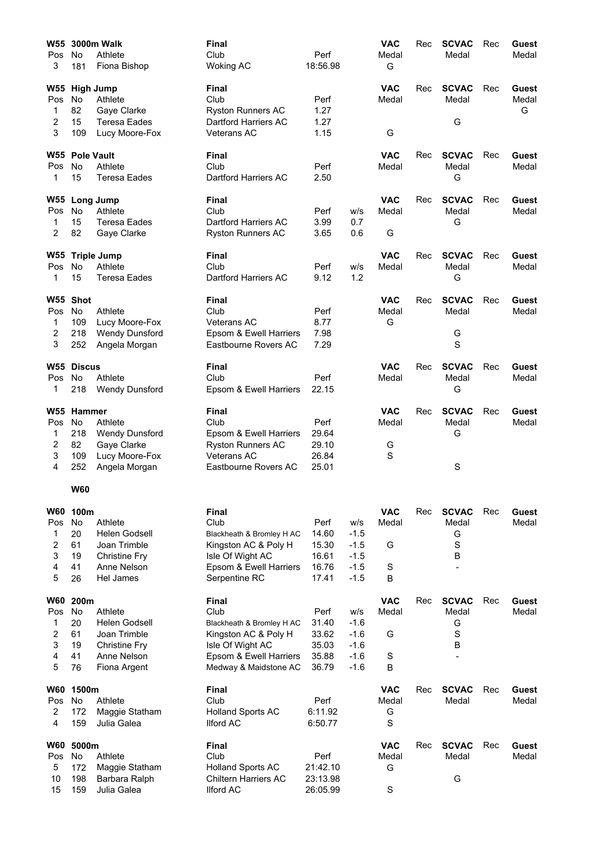| W55        |                   | 3000m Walk            | <b>Final</b>              |          |        | <b>VAC</b>  | Rec | <b>SCVAC</b> | Rec | Guest |
|------------|-------------------|-----------------------|---------------------------|----------|--------|-------------|-----|--------------|-----|-------|
| Pos        | No                | Athlete               | Club                      | Perf     |        | Medal       |     | Medal        |     | Medal |
| 3          | 181               | Fiona Bishop          | <b>Woking AC</b>          | 18:56.98 |        | G           |     |              |     |       |
| W55        | <b>High Jump</b>  |                       | Final                     |          |        | <b>VAC</b>  | Rec | <b>SCVAC</b> | Rec | Guest |
| Pos        | <b>No</b>         | Athlete               | Club                      | Perf     |        | Medal       |     | Medal        |     | Medal |
| 1          | 82                | Gaye Clarke           | <b>Ryston Runners AC</b>  | 1.27     |        |             |     |              |     | G     |
| 2          | 15                | Teresa Eades          | Dartford Harriers AC      | 1.27     |        |             |     | G            |     |       |
| 3          | 109               | Lucy Moore-Fox        | <b>Veterans AC</b>        | 1.15     |        | G           |     |              |     |       |
| W55        | <b>Pole Vault</b> |                       | <b>Final</b>              |          |        | <b>VAC</b>  | Rec | <b>SCVAC</b> | Rec | Guest |
| Pos        | <b>No</b>         | Athlete               | Club                      | Perf     |        | Medal       |     | Medal        |     | Medal |
| 1          | 15                | <b>Teresa Eades</b>   | Dartford Harriers AC      | 2.50     |        |             |     | G            |     |       |
| W55        |                   | <b>Long Jump</b>      | Final                     |          |        | <b>VAC</b>  | Rec | <b>SCVAC</b> | Rec | Guest |
| Pos        | <b>No</b>         | Athlete               | Club                      | Perf     | w/s    | Medal       |     | Medal        |     | Medal |
| 1          | 15                | Teresa Eades          | Dartford Harriers AC      | 3.99     | 0.7    |             |     | G            |     |       |
| 2          | 82                | Gaye Clarke           | <b>Ryston Runners AC</b>  | 3.65     | 0.6    | G           |     |              |     |       |
| W55        |                   | <b>Triple Jump</b>    | Final                     |          |        | <b>VAC</b>  | Rec | <b>SCVAC</b> | Rec | Guest |
| Pos        | No                | Athlete               | Club                      | Perf     | W/S    | Medal       |     | Medal        |     | Medal |
| 1          | 15                | <b>Teresa Eades</b>   | Dartford Harriers AC      | 9.12     | 1.2    |             |     | G            |     |       |
|            | W55 Shot          |                       | <b>Final</b>              |          |        | <b>VAC</b>  | Rec | <b>SCVAC</b> | Rec | Guest |
| Pos        | <b>No</b>         | Athlete               | Club                      | Perf     |        | Medal       |     | Medal        |     | Medal |
| 1          | 109               | Lucy Moore-Fox        | <b>Veterans AC</b>        | 8.77     |        | G           |     |              |     |       |
| 2          | 218               | <b>Wendy Dunsford</b> | Epsom & Ewell Harriers    | 7.98     |        |             |     | G            |     |       |
| 3          | 252               | Angela Morgan         | Eastbourne Rovers AC      | 7.29     |        |             |     | S            |     |       |
|            | W55 Discus        |                       | <b>Final</b>              |          |        | <b>VAC</b>  | Rec | <b>SCVAC</b> | Rec | Guest |
| Pos        | No                | Athlete               | Club                      | Perf     |        | Medal       |     | Medal        |     | Medal |
| 1          | 218               | <b>Wendy Dunsford</b> | Epsom & Ewell Harriers    | 22.15    |        |             |     | G            |     |       |
|            | W55 Hammer        |                       | <b>Final</b>              |          |        | <b>VAC</b>  | Rec | <b>SCVAC</b> | Rec | Guest |
| Pos        | No                | Athlete               | Club                      | Perf     |        | Medal       |     | Medal        |     | Medal |
| 1          | 218               | <b>Wendy Dunsford</b> | Epsom & Ewell Harriers    | 29.64    |        |             |     | G            |     |       |
| 2          | 82                | Gaye Clarke           | <b>Ryston Runners AC</b>  | 29.10    |        | G           |     |              |     |       |
| 3          | 109               | Lucy Moore-Fox        | <b>Veterans AC</b>        | 26.84    |        | S           |     |              |     |       |
| 4          | 252               | Angela Morgan         | Eastbourne Rovers AC      | 25.01    |        |             |     | S            |     |       |
|            | <b>W60</b>        |                       |                           |          |        |             |     |              |     |       |
| <b>W60</b> | 100m              |                       | Final                     |          |        | <b>VAC</b>  | Rec | <b>SCVAC</b> | Rec | Guest |
| Pos        | No                | Athlete               | Club                      | Perf     | w/s    | Medal       |     | Medal        |     | Medal |
| 1          | 20                | Helen Godsell         | Blackheath & Bromley H AC | 14.60    | $-1.5$ |             |     | G            |     |       |
| 2          | 61                | Joan Trimble          | Kingston AC & Poly H      | 15.30    | $-1.5$ | G           |     | S            |     |       |
| 3          | 19                | <b>Christine Fry</b>  | Isle Of Wight AC          | 16.61    | $-1.5$ |             |     | B            |     |       |
| 4          | 41                | Anne Nelson           | Epsom & Ewell Harriers    | 16.76    | $-1.5$ | $\mathbf S$ |     |              |     |       |
| 5          | 26                | Hel James             | Serpentine RC             | 17.41    | $-1.5$ | B           |     |              |     |       |
| W60        | 200m              |                       | Final                     |          |        | <b>VAC</b>  | Rec | <b>SCVAC</b> | Rec | Guest |
| Pos        | No                | Athlete               | Club                      | Perf     | w/s    | Medal       |     | Medal        |     | Medal |
| 1          | 20                | Helen Godsell         | Blackheath & Bromley H AC | 31.40    | $-1.6$ |             |     | G            |     |       |
| 2          | 61                | Joan Trimble          | Kingston AC & Poly H      | 33.62    | $-1.6$ | G           |     | $\rm S$      |     |       |
| 3          | 19                | <b>Christine Fry</b>  | Isle Of Wight AC          | 35.03    | $-1.6$ |             |     | В            |     |       |
| 4          | 41                | Anne Nelson           | Epsom & Ewell Harriers    | 35.88    | $-1.6$ | $\mathbf S$ |     |              |     |       |
| 5          | 76                | Fiona Argent          | Medway & Maidstone AC     | 36.79    | $-1.6$ | B           |     |              |     |       |
| W60        | 1500m             |                       | <b>Final</b>              |          |        | <b>VAC</b>  | Rec | <b>SCVAC</b> | Rec | Guest |
| Pos        | No                | Athlete               | Club                      | Perf     |        | Medal       |     | Medal        |     | Medal |
| 2          | 172               | Maggie Statham        | <b>Holland Sports AC</b>  | 6:11.92  |        | G           |     |              |     |       |
| 4          | 159               | Julia Galea           | <b>Ilford AC</b>          | 6:50.77  |        | $\mathbf S$ |     |              |     |       |
| W60        | 5000m             |                       | <b>Final</b>              |          |        | <b>VAC</b>  | Rec | <b>SCVAC</b> | Rec | Guest |
| Pos        | No                | Athlete               | Club                      | Perf     |        | Medal       |     | Medal        |     | Medal |
| 5          | 172               | Maggie Statham        | <b>Holland Sports AC</b>  | 21:42.10 |        | G           |     |              |     |       |
| 10         | 198               | Barbara Ralph         | Chiltern Harriers AC      | 23:13.98 |        |             |     | G            |     |       |
| 15         | 159               | Julia Galea           | <b>Ilford AC</b>          | 26:05.99 |        | S           |     |              |     |       |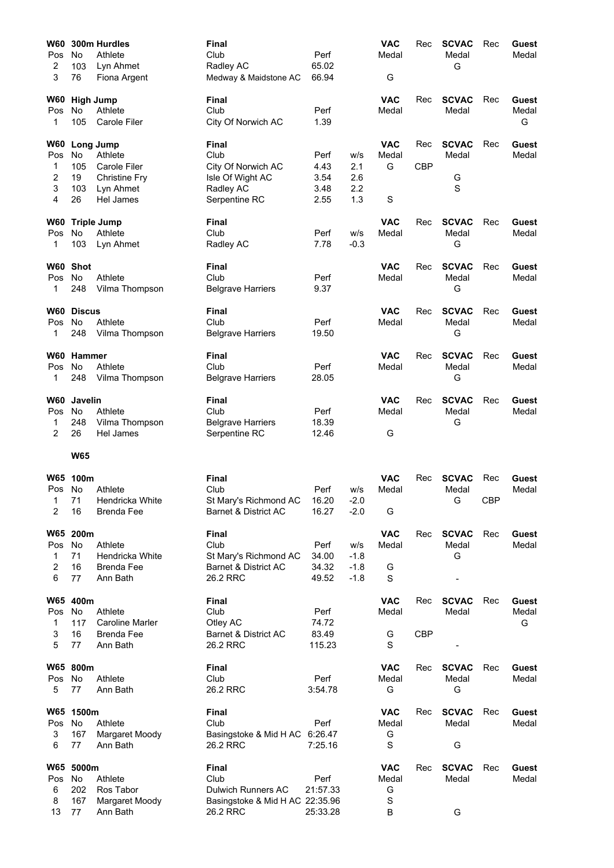| W60        |                 | 300m Hurdles           | Final                           |                 |            | <b>VAC</b>          | Rec        | <b>SCVAC</b>          | Rec        | <b>Guest</b>   |
|------------|-----------------|------------------------|---------------------------------|-----------------|------------|---------------------|------------|-----------------------|------------|----------------|
| Pos        | <b>No</b>       | Athlete                | Club                            | Perf            |            | Medal               |            | Medal                 |            | Medal          |
| 2          | 103             | Lyn Ahmet              | Radley AC                       | 65.02           |            |                     |            | G                     |            |                |
| 3          | 76              | Fiona Argent           | Medway & Maidstone AC           | 66.94           |            | G                   |            |                       |            |                |
| W60        |                 | <b>High Jump</b>       | Final                           |                 |            | <b>VAC</b>          | Rec        | <b>SCVAC</b>          | Rec        | Guest          |
| Pos        | <b>No</b>       | Athlete                | Club                            | Perf            |            | Medal               |            | Medal                 |            | Medal          |
| 1          | 105             | Carole Filer           | City Of Norwich AC              | 1.39            |            |                     |            |                       |            | G              |
| W60        |                 | Long Jump              | <b>Final</b>                    |                 |            | <b>VAC</b>          | Rec        | <b>SCVAC</b>          | Rec        | Guest          |
| Pos        | No              | Athlete                | Club                            | Perf            | w/s        | Medal               |            | Medal                 |            | Medal          |
| 1          | 105             | <b>Carole Filer</b>    | City Of Norwich AC              | 4.43            | 2.1        | G                   | <b>CBP</b> |                       |            |                |
| 2          | 19              | Christine Fry          | Isle Of Wight AC                | 3.54            | 2.6        |                     |            | G                     |            |                |
| 3<br>4     | 103<br>26       | Lyn Ahmet<br>Hel James | Radley AC<br>Serpentine RC      | 3.48<br>2.55    | 2.2<br>1.3 | $\mathbf S$         |            | S                     |            |                |
| W60        |                 | <b>Triple Jump</b>     | Final                           |                 |            | <b>VAC</b>          | Rec        | <b>SCVAC</b>          | Rec        | Guest          |
| Pos        | <b>No</b>       | Athlete                | Club                            | Perf            | w/s        | Medal               |            | Medal                 |            | Medal          |
| 1          | 103             | Lyn Ahmet              | Radley AC                       | 7.78            | $-0.3$     |                     |            | G                     |            |                |
| W60        | <b>Shot</b>     |                        | Final                           |                 |            | <b>VAC</b>          | Rec        | <b>SCVAC</b>          | Rec        | Guest          |
| <b>Pos</b> | No              | Athlete                | Club                            | Perf            |            | Medal               |            | Medal                 |            | Medal          |
| 1          | 248             | Vilma Thompson         | <b>Belgrave Harriers</b>        | 9.37            |            |                     |            | G                     |            |                |
| <b>W60</b> | <b>Discus</b>   |                        | Final                           |                 |            | <b>VAC</b>          | Rec        | <b>SCVAC</b>          | Rec        | Guest          |
| <b>Pos</b> | No              | Athlete                | Club                            | Perf            |            | Medal               |            | Medal                 |            | Medal          |
| 1          | 248             | Vilma Thompson         | <b>Belgrave Harriers</b>        | 19.50           |            |                     |            | G                     |            |                |
|            | W60 Hammer      |                        | <b>Final</b>                    |                 |            | <b>VAC</b>          | Rec        | <b>SCVAC</b>          | Rec        | <b>Guest</b>   |
| Pos        | No              | Athlete                | Club                            | Perf            |            | Medal               |            | Medal                 |            | Medal          |
| 1          | 248             | Vilma Thompson         | <b>Belgrave Harriers</b>        | 28.05           |            |                     |            | G                     |            |                |
| W60        | <b>Javelin</b>  |                        | Final                           |                 |            | <b>VAC</b>          | Rec        | <b>SCVAC</b>          | Rec        | Guest          |
| Pos        | No              | Athlete                | Club                            | Perf            |            | Medal               |            | Medal                 |            | Medal          |
| 1          | 248             | Vilma Thompson         | <b>Belgrave Harriers</b>        | 18.39           |            |                     |            | G                     |            |                |
| 2          | 26              | Hel James              | Serpentine RC                   | 12.46           |            | G                   |            |                       |            |                |
|            | <b>W65</b>      |                        |                                 |                 |            |                     |            |                       |            |                |
| <b>W65</b> | 100m            |                        | Final                           |                 |            | <b>VAC</b>          | Rec        | <b>SCVAC</b>          | Rec        | Guest          |
| Pos        | No              | Athlete                | Club                            | Perf            | w/s        | Medal               |            | Medal                 |            | Medal          |
|            | 71              | Hendricka White        | St Mary's Richmond AC           | 16.20           | $-2.0$     |                     |            | G                     | <b>CBP</b> |                |
| 2          | 16              | <b>Brenda Fee</b>      | Barnet & District AC            | 16.27           | $-2.0$     | G                   |            |                       |            |                |
|            | W65 200m        |                        | <b>Final</b>                    |                 |            | <b>VAC</b>          | Rec        | <b>SCVAC</b>          | Rec        | Guest          |
| Pos        | No              | Athlete                | Club                            | Perf            | w/s        | Medal               |            | Medal                 |            | Medal          |
| 1          | 71              | Hendricka White        | St Mary's Richmond AC           | 34.00           | $-1.8$     |                     |            | G                     |            |                |
| 2          | 16              | <b>Brenda Fee</b>      | Barnet & District AC            | 34.32           | $-1.8$     | G                   |            |                       |            |                |
| 6          | 77              | Ann Bath               | 26.2 RRC                        | 49.52           | $-1.8$     | $\mathbf S$         |            |                       |            |                |
|            | W65 400m        |                        | <b>Final</b>                    |                 |            | <b>VAC</b>          | Rec        | <b>SCVAC</b>          | Rec        | Guest          |
| Pos        | No              | Athlete                | Club                            | Perf            |            | Medal               |            | Medal                 |            | Medal          |
| 1          | 117             | <b>Caroline Marler</b> | Otley AC                        | 74.72           |            |                     |            |                       |            | G              |
| 3          | 16              | Brenda Fee             | Barnet & District AC            | 83.49           |            | G                   | <b>CBP</b> |                       |            |                |
| 5          | 77              | Ann Bath               | 26.2 RRC                        | 115.23          |            | S                   |            |                       |            |                |
|            | W65 800m        |                        | <b>Final</b>                    |                 |            | <b>VAC</b>          | Rec        | <b>SCVAC</b>          | Rec        | Guest          |
| Pos<br>5   | No<br>77        | Athlete<br>Ann Bath    | Club                            | Perf<br>3:54.78 |            | Medal               |            | Medal<br>G            |            | Medal          |
|            |                 |                        | 26.2 RRC                        |                 |            | G                   |            |                       |            |                |
| Pos        | W65 1500m<br>No | Athlete                | <b>Final</b><br>Club            | Perf            |            | <b>VAC</b><br>Medal | Rec        | <b>SCVAC</b><br>Medal | Rec        | Guest<br>Medal |
| 3          | 167             | Margaret Moody         | Basingstoke & Mid H AC 6:26.47  |                 |            | G                   |            |                       |            |                |
| 6          | 77              | Ann Bath               | 26.2 RRC                        | 7:25.16         |            | $\mathbf S$         |            | G                     |            |                |
|            | W65 5000m       |                        | <b>Final</b>                    |                 |            | <b>VAC</b>          | Rec        | <b>SCVAC</b>          | Rec        | Guest          |
| Pos        | No              | Athlete                | Club                            | Perf            |            | Medal               |            | Medal                 |            | Medal          |
| 6          | 202             | Ros Tabor              | <b>Dulwich Runners AC</b>       | 21:57.33        |            | G                   |            |                       |            |                |
| 8          | 167             | Margaret Moody         | Basingstoke & Mid H AC 22:35.96 |                 |            | S                   |            |                       |            |                |
| 13         | 77              | Ann Bath               | 26.2 RRC                        | 25:33.28        |            | B                   |            | G                     |            |                |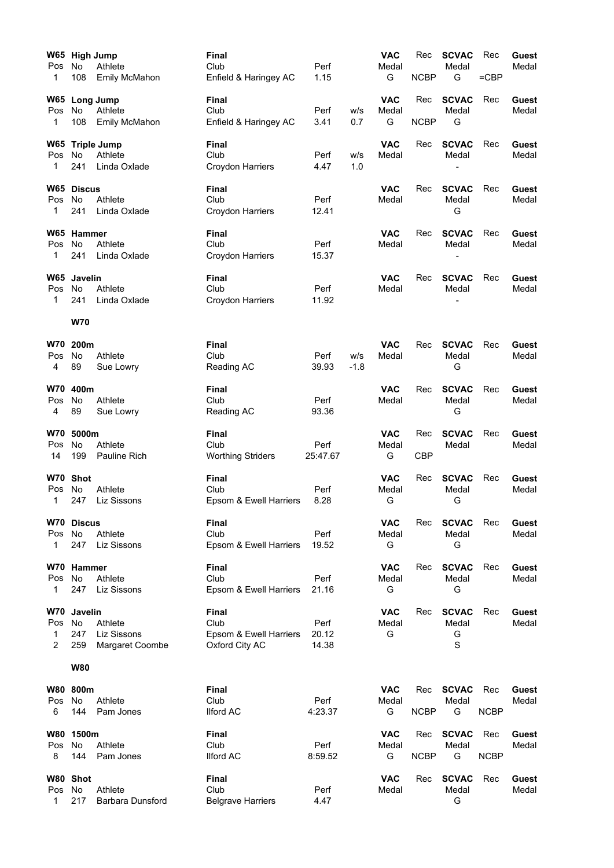|                | W65 High Jump |                      | Final                    |               |        | <b>VAC</b> | Rec         | <b>SCVAC</b>          | Rec         | Guest          |
|----------------|---------------|----------------------|--------------------------|---------------|--------|------------|-------------|-----------------------|-------------|----------------|
| Pos            | No            | Athlete              | Club                     | Perf          |        | Medal      |             | Medal                 |             | Medal          |
| 1              | 108           | <b>Emily McMahon</b> | Enfield & Haringey AC    | 1.15          |        | G          | <b>NCBP</b> | G                     | $=$ CBP     |                |
|                |               | W65 Long Jump        | Final                    |               |        | <b>VAC</b> | Rec         | <b>SCVAC</b>          | Rec         | Guest          |
| Pos            | No            | Athlete              | Club                     | Perf          | w/s    | Medal      |             | Medal                 |             | Medal          |
| 1              | 108           | <b>Emily McMahon</b> | Enfield & Haringey AC    | 3.41          | 0.7    | G          | <b>NCBP</b> | G                     |             |                |
|                |               | W65 Triple Jump      | Final                    |               |        | <b>VAC</b> | Rec         | <b>SCVAC</b>          | Rec         | Guest          |
| Pos            | No            | Athlete              | Club                     | Perf          | w/s    | Medal      |             | Medal                 |             | Medal          |
| 1              | 241           | Linda Oxlade         | Croydon Harriers         | 4.47          | 1.0    |            |             |                       |             |                |
|                | W65 Discus    |                      | Final                    |               |        | <b>VAC</b> | Rec         | <b>SCVAC</b>          | Rec         | Guest          |
| Pos            | No            | Athlete              | Club                     | Perf          |        | Medal      |             | Medal                 |             | Medal          |
| 1              | 241           | Linda Oxlade         | Croydon Harriers         | 12.41         |        |            |             | G                     |             |                |
|                | W65 Hammer    |                      | Final                    |               |        | <b>VAC</b> | Rec         | <b>SCVAC</b>          | Rec         | Guest          |
| Pos            | No            | Athlete              | Club                     | Perf          |        | Medal      |             | Medal                 |             | Medal          |
| 1              | 241           | Linda Oxlade         | Croydon Harriers         | 15.37         |        |            |             | L,                    |             |                |
|                | W65 Javelin   |                      | Final                    |               |        | <b>VAC</b> | Rec         | <b>SCVAC</b>          | Rec         | Guest          |
| Pos            | No            | Athlete              | Club                     | Perf          |        | Medal      |             | Medal                 |             | Medal          |
| 1              | 241           | Linda Oxlade         | Croydon Harriers         | 11.92         |        |            |             |                       |             |                |
|                | <b>W70</b>    |                      |                          |               |        |            |             |                       |             |                |
| W70            | 200m          |                      | Final                    |               |        | <b>VAC</b> | Rec         | <b>SCVAC</b>          | Rec         | Guest          |
| Pos            | <b>No</b>     | Athlete              | Club                     | Perf          | W/S    | Medal      |             | Medal                 |             | Medal          |
| 4              | 89            | Sue Lowry            | Reading AC               | 39.93         | $-1.8$ |            |             | G                     |             |                |
|                | 400m          |                      |                          |               |        | <b>VAC</b> |             |                       |             |                |
| <b>W70</b>     | No            | Athlete              | Final<br>Club            |               |        |            | Rec         | <b>SCVAC</b><br>Medal | Rec         | Guest<br>Medal |
| Pos<br>4       | 89            | Sue Lowry            | Reading AC               | Perf<br>93.36 |        | Medal      |             | G                     |             |                |
|                |               |                      |                          |               |        |            |             |                       |             |                |
| <b>W70</b>     | 5000m         |                      | Final                    |               |        | <b>VAC</b> | Rec         | <b>SCVAC</b>          | Rec         | Guest          |
| Pos            | No            | Athlete              | Club                     | Perf          |        | Medal      |             | Medal                 |             | Medal          |
| 14             | 199           | Pauline Rich         | <b>Worthing Striders</b> | 25:47.67      |        | G          | <b>CBP</b>  |                       |             |                |
|                | W70 Shot      |                      | Final                    |               |        | <b>VAC</b> | Rec         | <b>SCVAC</b>          | Rec         | Guest          |
| Pos            | No            | Athlete              | Club                     | Perf          |        | Medal      |             | Medal                 |             | Medal          |
| 1              | 247           | Liz Sissons          | Epsom & Ewell Harriers   | 8.28          |        | G          |             | G                     |             |                |
|                | W70 Discus    |                      | Final                    |               |        | <b>VAC</b> | Rec         | <b>SCVAC</b>          | Rec         | Guest          |
| Pos            | No            | Athlete              | Club                     | Perf          |        | Medal      |             | Medal                 |             | Medal          |
| 1              | 247           | Liz Sissons          | Epsom & Ewell Harriers   | 19.52         |        | G          |             | G                     |             |                |
|                | W70 Hammer    |                      | Final                    |               |        | <b>VAC</b> | Rec         | <b>SCVAC</b>          | Rec         | <b>Guest</b>   |
| Pos            | <b>No</b>     | Athlete              | Club                     | Perf          |        | Medal      |             | Medal                 |             | Medal          |
| 1              | 247           | Liz Sissons          | Epsom & Ewell Harriers   | 21.16         |        | G          |             | G                     |             |                |
| <b>W70</b>     | Javelin       |                      | Final                    |               |        | <b>VAC</b> | Rec         | <b>SCVAC</b>          | Rec         | Guest          |
| Pos            | No            | Athlete              | Club                     | Perf          |        | Medal      |             | Medal                 |             | Medal          |
| $\mathbf{1}$   | 247           | Liz Sissons          | Epsom & Ewell Harriers   | 20.12         |        | G          |             | G                     |             |                |
| $\overline{2}$ | 259           | Margaret Coombe      | Oxford City AC           | 14.38         |        |            |             | $\mathbf S$           |             |                |
|                | <b>W80</b>    |                      |                          |               |        |            |             |                       |             |                |
|                | W80 800m      |                      | Final                    |               |        | <b>VAC</b> | Rec         | <b>SCVAC</b>          | Rec         | Guest          |
| Pos            | No            | Athlete              | Club                     | Perf          |        | Medal      |             | Medal                 |             | Medal          |
| 6              | 144           | Pam Jones            | <b>Ilford AC</b>         | 4:23.37       |        | G          | <b>NCBP</b> | G                     | <b>NCBP</b> |                |
| <b>W80</b>     | 1500m         |                      | Final                    |               |        | <b>VAC</b> | Rec         | <b>SCVAC</b>          | Rec         | Guest          |
| Pos            | No.           | Athlete              | Club                     | Perf          |        | Medal      |             | Medal                 |             | Medal          |
| 8              | 144           | Pam Jones            | <b>Ilford AC</b>         | 8:59.52       |        | G          | <b>NCBP</b> | G                     | <b>NCBP</b> |                |
|                | W80 Shot      |                      | Final                    |               |        | <b>VAC</b> | Rec         | <b>SCVAC</b>          | Rec         | Guest          |
| Pos            | No            | Athlete              | Club                     | Perf          |        | Medal      |             | Medal                 |             | Medal          |
| $\mathbf{1}$   | 217           | Barbara Dunsford     | <b>Belgrave Harriers</b> | 4.47          |        |            |             | G                     |             |                |